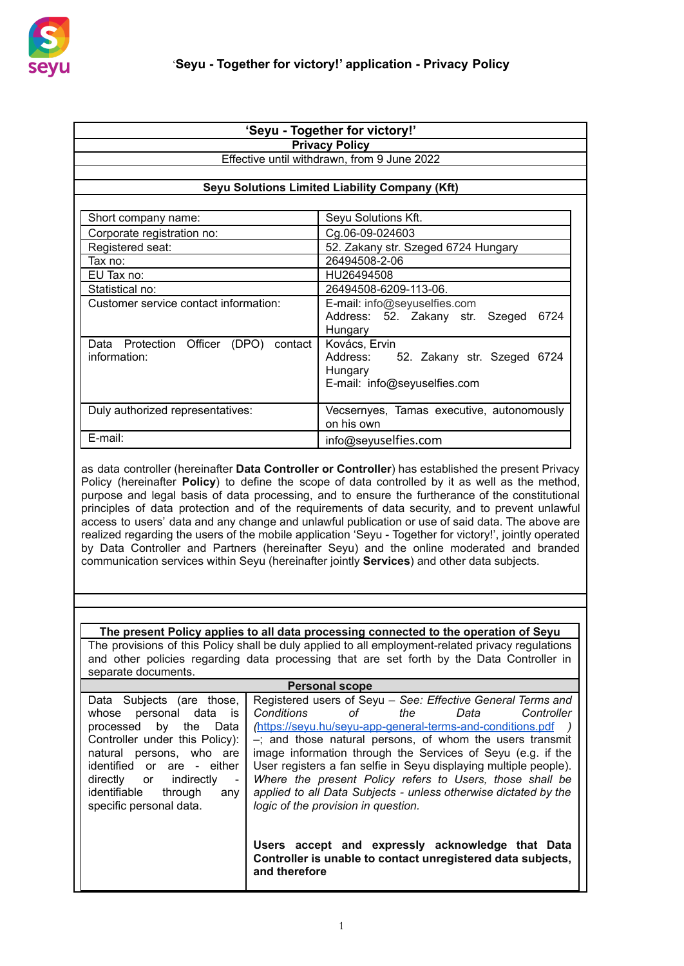

| 'Seyu - Together for victory!'           |                                                         |  |  |
|------------------------------------------|---------------------------------------------------------|--|--|
| <b>Privacy Policy</b>                    |                                                         |  |  |
|                                          | Effective until withdrawn, from 9 June 2022             |  |  |
|                                          |                                                         |  |  |
|                                          | Seyu Solutions Limited Liability Company (Kft)          |  |  |
|                                          |                                                         |  |  |
| Short company name:                      | Seyu Solutions Kft.                                     |  |  |
| Corporate registration no:               | Cg.06-09-024603                                         |  |  |
| Registered seat:                         | 52. Zakany str. Szeged 6724 Hungary                     |  |  |
| 26494508-2-06<br>Tax no:                 |                                                         |  |  |
| EU Tax no:                               | HU26494508                                              |  |  |
| Statistical no:                          | 26494508-6209-113-06.                                   |  |  |
| Customer service contact information:    | E-mail: info@seyuselfies.com                            |  |  |
|                                          | Address: 52. Zakany str. Szeged<br>6724                 |  |  |
|                                          | Hungary                                                 |  |  |
| Data Protection Officer (DPO)<br>contact | Kovács, Ervin                                           |  |  |
| information:                             | Address: 52. Zakany str. Szeged 6724                    |  |  |
|                                          | Hungary                                                 |  |  |
|                                          | E-mail: info@seyuselfies.com                            |  |  |
|                                          |                                                         |  |  |
| Duly authorized representatives:         | Vecsernyes, Tamas executive, autonomously<br>on his own |  |  |
| E-mail:                                  |                                                         |  |  |
| info@seyuselfies.com                     |                                                         |  |  |

as data controller (hereinafter **Data Controller or Controller**) has established the present Privacy Policy (hereinafter **Policy**) to define the scope of data controlled by it as well as the method, purpose and legal basis of data processing, and to ensure the furtherance of the constitutional principles of data protection and of the requirements of data security, and to prevent unlawful access to users' data and any change and unlawful publication or use of said data. The above are realized regarding the users of the mobile application 'Seyu - Together for victory!', jointly operated by Data Controller and Partners (hereinafter Seyu) and the online moderated and branded communication services within Seyu (hereinafter jointly **Services**) and other data subjects.

**The present Policy applies to all data processing connected to the operation of Seyu** The provisions of this Policy shall be duly applied to all employment-related privacy regulations and other policies regarding data processing that are set forth by the Data Controller in separate documents.

| <b>Personal scope</b>                                     |                                                                                                                 |  |  |
|-----------------------------------------------------------|-----------------------------------------------------------------------------------------------------------------|--|--|
| Data Subjects (are those,                                 | Registered users of Seyu – See: Effective General Terms and                                                     |  |  |
| data<br>whose<br>personal<br>is                           | Conditions<br>of c<br>Controller<br>the<br>Data                                                                 |  |  |
| processed by<br>the<br>Data                               | https://sevu.hu/sevu-app-general-terms-and-conditions.pdf                                                       |  |  |
| Controller under this Policy):                            | $-$ ; and those natural persons, of whom the users transmit                                                     |  |  |
| natural<br>persons, who are                               | image information through the Services of Seyu (e.g. if the                                                     |  |  |
| identified or are - either                                | User registers a fan selfie in Seyu displaying multiple people).                                                |  |  |
| indirectly<br>directly or<br>$\qquad \qquad \blacksquare$ | Where the present Policy refers to Users, those shall be                                                        |  |  |
| identifiable<br>through<br>any                            | applied to all Data Subjects - unless otherwise dictated by the                                                 |  |  |
| specific personal data.                                   | logic of the provision in question.                                                                             |  |  |
|                                                           |                                                                                                                 |  |  |
|                                                           |                                                                                                                 |  |  |
|                                                           | Users accept and expressly acknowledge that Data<br>Controller is unable to contact unregistered data subjects, |  |  |
|                                                           | and therefore                                                                                                   |  |  |
|                                                           |                                                                                                                 |  |  |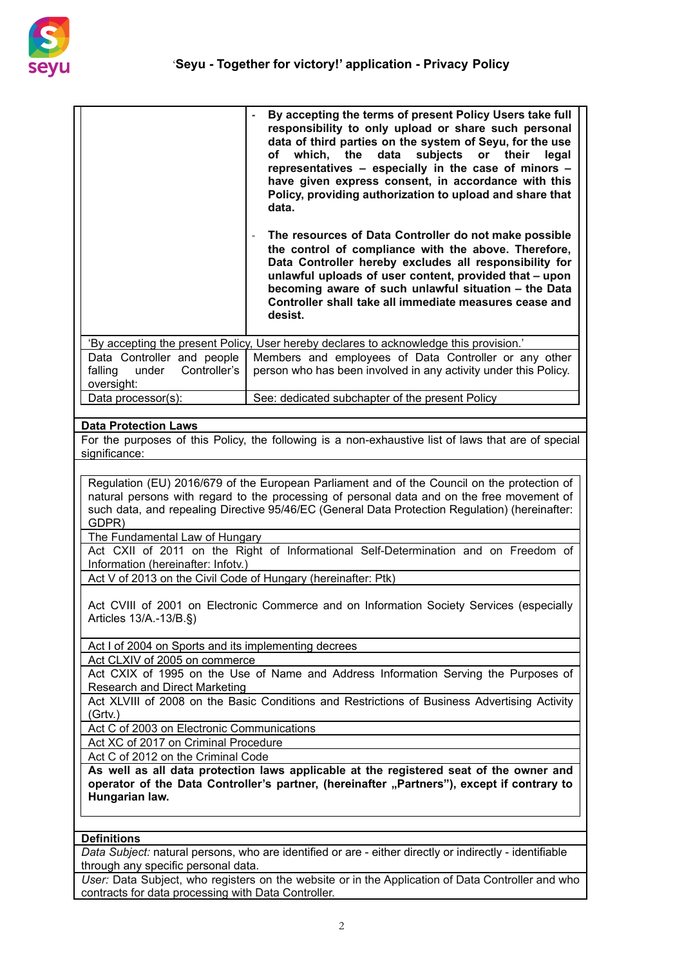

|                                                                                                                                                                                                                                                                                                                                                                                                                                                                                                                                      | By accepting the terms of present Policy Users take full<br>responsibility to only upload or share such personal<br>data of third parties on the system of Seyu, for the use<br>of which, the<br>data<br>subjects<br>or<br>their<br>legal<br>representatives - especially in the case of minors -<br>have given express consent, in accordance with this<br>Policy, providing authorization to upload and share that<br>data.<br>The resources of Data Controller do not make possible<br>the control of compliance with the above. Therefore,<br>Data Controller hereby excludes all responsibility for<br>unlawful uploads of user content, provided that - upon<br>becoming aware of such unlawful situation - the Data<br>Controller shall take all immediate measures cease and<br>desist. |  |
|--------------------------------------------------------------------------------------------------------------------------------------------------------------------------------------------------------------------------------------------------------------------------------------------------------------------------------------------------------------------------------------------------------------------------------------------------------------------------------------------------------------------------------------|-------------------------------------------------------------------------------------------------------------------------------------------------------------------------------------------------------------------------------------------------------------------------------------------------------------------------------------------------------------------------------------------------------------------------------------------------------------------------------------------------------------------------------------------------------------------------------------------------------------------------------------------------------------------------------------------------------------------------------------------------------------------------------------------------|--|
|                                                                                                                                                                                                                                                                                                                                                                                                                                                                                                                                      | 'By accepting the present Policy, User hereby declares to acknowledge this provision.'                                                                                                                                                                                                                                                                                                                                                                                                                                                                                                                                                                                                                                                                                                          |  |
| Data Controller and people<br>Controller's<br>falling<br>under<br>oversight:                                                                                                                                                                                                                                                                                                                                                                                                                                                         | Members and employees of Data Controller or any other<br>person who has been involved in any activity under this Policy.                                                                                                                                                                                                                                                                                                                                                                                                                                                                                                                                                                                                                                                                        |  |
| Data processor(s):                                                                                                                                                                                                                                                                                                                                                                                                                                                                                                                   | See: dedicated subchapter of the present Policy                                                                                                                                                                                                                                                                                                                                                                                                                                                                                                                                                                                                                                                                                                                                                 |  |
|                                                                                                                                                                                                                                                                                                                                                                                                                                                                                                                                      |                                                                                                                                                                                                                                                                                                                                                                                                                                                                                                                                                                                                                                                                                                                                                                                                 |  |
| <b>Data Protection Laws</b><br>significance:                                                                                                                                                                                                                                                                                                                                                                                                                                                                                         | For the purposes of this Policy, the following is a non-exhaustive list of laws that are of special                                                                                                                                                                                                                                                                                                                                                                                                                                                                                                                                                                                                                                                                                             |  |
| Regulation (EU) 2016/679 of the European Parliament and of the Council on the protection of<br>natural persons with regard to the processing of personal data and on the free movement of<br>such data, and repealing Directive 95/46/EC (General Data Protection Regulation) (hereinafter:<br>GDPR)<br>The Fundamental Law of Hungary<br>Act CXII of 2011 on the Right of Informational Self-Determination and on Freedom of<br>Information (hereinafter: Infotv.)<br>Act V of 2013 on the Civil Code of Hungary (hereinafter: Ptk) |                                                                                                                                                                                                                                                                                                                                                                                                                                                                                                                                                                                                                                                                                                                                                                                                 |  |
| Act CVIII of 2001 on Electronic Commerce and on Information Society Services (especially<br>Articles 13/A.-13/B.§)                                                                                                                                                                                                                                                                                                                                                                                                                   |                                                                                                                                                                                                                                                                                                                                                                                                                                                                                                                                                                                                                                                                                                                                                                                                 |  |
| Act I of 2004 on Sports and its implementing decrees                                                                                                                                                                                                                                                                                                                                                                                                                                                                                 |                                                                                                                                                                                                                                                                                                                                                                                                                                                                                                                                                                                                                                                                                                                                                                                                 |  |
| Act CLXIV of 2005 on commerce                                                                                                                                                                                                                                                                                                                                                                                                                                                                                                        |                                                                                                                                                                                                                                                                                                                                                                                                                                                                                                                                                                                                                                                                                                                                                                                                 |  |
| Act CXIX of 1995 on the Use of Name and Address Information Serving the Purposes of<br><b>Research and Direct Marketing</b><br>Act XLVIII of 2008 on the Basic Conditions and Restrictions of Business Advertising Activity                                                                                                                                                                                                                                                                                                          |                                                                                                                                                                                                                                                                                                                                                                                                                                                                                                                                                                                                                                                                                                                                                                                                 |  |
| (Grtv.)                                                                                                                                                                                                                                                                                                                                                                                                                                                                                                                              |                                                                                                                                                                                                                                                                                                                                                                                                                                                                                                                                                                                                                                                                                                                                                                                                 |  |
|                                                                                                                                                                                                                                                                                                                                                                                                                                                                                                                                      | Act C of 2003 on Electronic Communications<br>Act XC of 2017 on Criminal Procedure                                                                                                                                                                                                                                                                                                                                                                                                                                                                                                                                                                                                                                                                                                              |  |
| Act C of 2012 on the Criminal Code                                                                                                                                                                                                                                                                                                                                                                                                                                                                                                   |                                                                                                                                                                                                                                                                                                                                                                                                                                                                                                                                                                                                                                                                                                                                                                                                 |  |
| As well as all data protection laws applicable at the registered seat of the owner and<br>operator of the Data Controller's partner, (hereinafter "Partners"), except if contrary to<br>Hungarian law.                                                                                                                                                                                                                                                                                                                               |                                                                                                                                                                                                                                                                                                                                                                                                                                                                                                                                                                                                                                                                                                                                                                                                 |  |
| <b>Definitions</b>                                                                                                                                                                                                                                                                                                                                                                                                                                                                                                                   |                                                                                                                                                                                                                                                                                                                                                                                                                                                                                                                                                                                                                                                                                                                                                                                                 |  |
|                                                                                                                                                                                                                                                                                                                                                                                                                                                                                                                                      | Data Subject: natural persons, who are identified or are - either directly or indirectly - identifiable                                                                                                                                                                                                                                                                                                                                                                                                                                                                                                                                                                                                                                                                                         |  |
| through any specific personal data.                                                                                                                                                                                                                                                                                                                                                                                                                                                                                                  |                                                                                                                                                                                                                                                                                                                                                                                                                                                                                                                                                                                                                                                                                                                                                                                                 |  |
|                                                                                                                                                                                                                                                                                                                                                                                                                                                                                                                                      | User: Data Subject, who registers on the website or in the Application of Data Controller and who                                                                                                                                                                                                                                                                                                                                                                                                                                                                                                                                                                                                                                                                                               |  |

*User:* Data Subject, who registers on the website or in the Application of Data Controller and who contracts for data processing with Data Controller.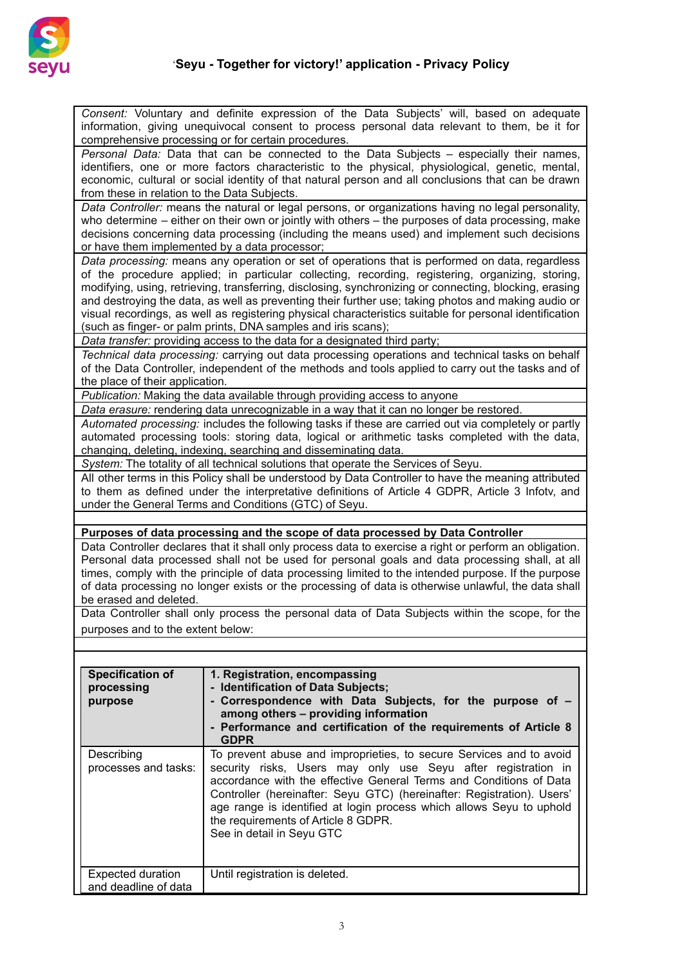

*Consent:* Voluntary and definite expression of the Data Subjects' will, based on adequate

| information, giving unequivocal consent to process personal data relevant to them, be it for<br>comprehensive processing or for certain procedures.                                                                                                                                                                                                       |                                                                                                                                                                                                                                                                                                                                                                                                                                                                                                                                                                                                  |  |  |
|-----------------------------------------------------------------------------------------------------------------------------------------------------------------------------------------------------------------------------------------------------------------------------------------------------------------------------------------------------------|--------------------------------------------------------------------------------------------------------------------------------------------------------------------------------------------------------------------------------------------------------------------------------------------------------------------------------------------------------------------------------------------------------------------------------------------------------------------------------------------------------------------------------------------------------------------------------------------------|--|--|
| Personal Data: Data that can be connected to the Data Subjects - especially their names,<br>identifiers, one or more factors characteristic to the physical, physiological, genetic, mental,<br>economic, cultural or social identity of that natural person and all conclusions that can be drawn<br>from these in relation to the Data Subjects.        |                                                                                                                                                                                                                                                                                                                                                                                                                                                                                                                                                                                                  |  |  |
| Data Controller: means the natural or legal persons, or organizations having no legal personality,<br>who determine – either on their own or jointly with others – the purposes of data processing, make<br>decisions concerning data processing (including the means used) and implement such decisions<br>or have them implemented by a data processor; |                                                                                                                                                                                                                                                                                                                                                                                                                                                                                                                                                                                                  |  |  |
|                                                                                                                                                                                                                                                                                                                                                           | Data processing: means any operation or set of operations that is performed on data, regardless<br>of the procedure applied; in particular collecting, recording, registering, organizing, storing,<br>modifying, using, retrieving, transferring, disclosing, synchronizing or connecting, blocking, erasing<br>and destroying the data, as well as preventing their further use; taking photos and making audio or<br>visual recordings, as well as registering physical characteristics suitable for personal identification<br>(such as finger- or palm prints, DNA samples and iris scans); |  |  |
|                                                                                                                                                                                                                                                                                                                                                           | Data transfer: providing access to the data for a designated third party;<br>Technical data processing: carrying out data processing operations and technical tasks on behalf<br>of the Data Controller, independent of the methods and tools applied to carry out the tasks and of                                                                                                                                                                                                                                                                                                              |  |  |
| the place of their application.                                                                                                                                                                                                                                                                                                                           |                                                                                                                                                                                                                                                                                                                                                                                                                                                                                                                                                                                                  |  |  |
|                                                                                                                                                                                                                                                                                                                                                           | Publication: Making the data available through providing access to anyone                                                                                                                                                                                                                                                                                                                                                                                                                                                                                                                        |  |  |
|                                                                                                                                                                                                                                                                                                                                                           | Data erasure: rendering data unrecognizable in a way that it can no longer be restored.<br>Automated processing: includes the following tasks if these are carried out via completely or partly<br>automated processing tools: storing data, logical or arithmetic tasks completed with the data,<br>changing, deleting, indexing, searching and disseminating data.                                                                                                                                                                                                                             |  |  |
|                                                                                                                                                                                                                                                                                                                                                           | System: The totality of all technical solutions that operate the Services of Seyu.                                                                                                                                                                                                                                                                                                                                                                                                                                                                                                               |  |  |
| All other terms in this Policy shall be understood by Data Controller to have the meaning attributed<br>to them as defined under the interpretative definitions of Article 4 GDPR, Article 3 Infotv, and<br>under the General Terms and Conditions (GTC) of Seyu.                                                                                         |                                                                                                                                                                                                                                                                                                                                                                                                                                                                                                                                                                                                  |  |  |
|                                                                                                                                                                                                                                                                                                                                                           |                                                                                                                                                                                                                                                                                                                                                                                                                                                                                                                                                                                                  |  |  |
|                                                                                                                                                                                                                                                                                                                                                           |                                                                                                                                                                                                                                                                                                                                                                                                                                                                                                                                                                                                  |  |  |
|                                                                                                                                                                                                                                                                                                                                                           | Purposes of data processing and the scope of data processed by Data Controller                                                                                                                                                                                                                                                                                                                                                                                                                                                                                                                   |  |  |
| be erased and deleted.                                                                                                                                                                                                                                                                                                                                    | Data Controller declares that it shall only process data to exercise a right or perform an obligation.<br>Personal data processed shall not be used for personal goals and data processing shall, at all<br>times, comply with the principle of data processing limited to the intended purpose. If the purpose<br>of data processing no longer exists or the processing of data is otherwise unlawful, the data shall                                                                                                                                                                           |  |  |
|                                                                                                                                                                                                                                                                                                                                                           | Data Controller shall only process the personal data of Data Subjects within the scope, for the                                                                                                                                                                                                                                                                                                                                                                                                                                                                                                  |  |  |
| purposes and to the extent below:                                                                                                                                                                                                                                                                                                                         |                                                                                                                                                                                                                                                                                                                                                                                                                                                                                                                                                                                                  |  |  |
|                                                                                                                                                                                                                                                                                                                                                           |                                                                                                                                                                                                                                                                                                                                                                                                                                                                                                                                                                                                  |  |  |
| <b>Specification of</b><br>processing<br>purpose                                                                                                                                                                                                                                                                                                          | 1. Registration, encompassing<br>- Identification of Data Subjects;<br>- Correspondence with Data Subjects, for the purpose of -<br>among others - providing information<br>- Performance and certification of the requirements of Article 8<br><b>GDPR</b>                                                                                                                                                                                                                                                                                                                                      |  |  |
| Describing<br>processes and tasks:                                                                                                                                                                                                                                                                                                                        | To prevent abuse and improprieties, to secure Services and to avoid<br>security risks, Users may only use Seyu after registration in<br>accordance with the effective General Terms and Conditions of Data<br>Controller (hereinafter: Seyu GTC) (hereinafter: Registration). Users'<br>age range is identified at login process which allows Seyu to uphold<br>the requirements of Article 8 GDPR.<br>See in detail in Seyu GTC                                                                                                                                                                 |  |  |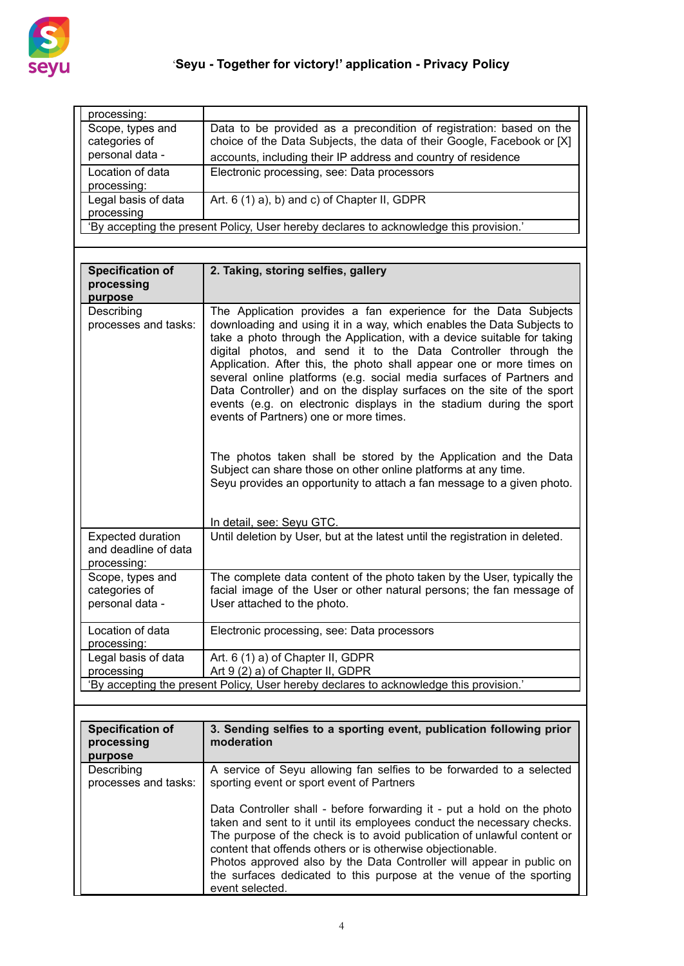

| processing:                                          |                                                                                                                                                                                                                                                                                                                                                                                                                                                                                                                                                              |  |
|------------------------------------------------------|--------------------------------------------------------------------------------------------------------------------------------------------------------------------------------------------------------------------------------------------------------------------------------------------------------------------------------------------------------------------------------------------------------------------------------------------------------------------------------------------------------------------------------------------------------------|--|
| Scope, types and                                     | Data to be provided as a precondition of registration: based on the                                                                                                                                                                                                                                                                                                                                                                                                                                                                                          |  |
| categories of                                        | choice of the Data Subjects, the data of their Google, Facebook or [X]                                                                                                                                                                                                                                                                                                                                                                                                                                                                                       |  |
| personal data -                                      | accounts, including their IP address and country of residence                                                                                                                                                                                                                                                                                                                                                                                                                                                                                                |  |
| Location of data                                     | Electronic processing, see: Data processors                                                                                                                                                                                                                                                                                                                                                                                                                                                                                                                  |  |
| processing:                                          |                                                                                                                                                                                                                                                                                                                                                                                                                                                                                                                                                              |  |
| Legal basis of data                                  | Art. 6 (1) a), b) and c) of Chapter II, GDPR                                                                                                                                                                                                                                                                                                                                                                                                                                                                                                                 |  |
| processing                                           |                                                                                                                                                                                                                                                                                                                                                                                                                                                                                                                                                              |  |
|                                                      | 'By accepting the present Policy, User hereby declares to acknowledge this provision.'                                                                                                                                                                                                                                                                                                                                                                                                                                                                       |  |
|                                                      |                                                                                                                                                                                                                                                                                                                                                                                                                                                                                                                                                              |  |
|                                                      |                                                                                                                                                                                                                                                                                                                                                                                                                                                                                                                                                              |  |
| <b>Specification of</b>                              | 2. Taking, storing selfies, gallery                                                                                                                                                                                                                                                                                                                                                                                                                                                                                                                          |  |
| processing                                           |                                                                                                                                                                                                                                                                                                                                                                                                                                                                                                                                                              |  |
| purpose                                              |                                                                                                                                                                                                                                                                                                                                                                                                                                                                                                                                                              |  |
| Describing                                           | The Application provides a fan experience for the Data Subjects                                                                                                                                                                                                                                                                                                                                                                                                                                                                                              |  |
| processes and tasks:                                 | downloading and using it in a way, which enables the Data Subjects to<br>take a photo through the Application, with a device suitable for taking<br>digital photos, and send it to the Data Controller through the<br>Application. After this, the photo shall appear one or more times on<br>several online platforms (e.g. social media surfaces of Partners and<br>Data Controller) and on the display surfaces on the site of the sport<br>events (e.g. on electronic displays in the stadium during the sport<br>events of Partners) one or more times. |  |
|                                                      | The photos taken shall be stored by the Application and the Data<br>Subject can share those on other online platforms at any time.<br>Seyu provides an opportunity to attach a fan message to a given photo.                                                                                                                                                                                                                                                                                                                                                 |  |
|                                                      | In detail, see: Seyu GTC.                                                                                                                                                                                                                                                                                                                                                                                                                                                                                                                                    |  |
| <b>Expected duration</b>                             | Until deletion by User, but at the latest until the registration in deleted.                                                                                                                                                                                                                                                                                                                                                                                                                                                                                 |  |
| and deadline of data<br>processing:                  |                                                                                                                                                                                                                                                                                                                                                                                                                                                                                                                                                              |  |
| Scope, types and<br>categories of<br>personal data - | The complete data content of the photo taken by the User, typically the<br>facial image of the User or other natural persons; the fan message of<br>User attached to the photo.                                                                                                                                                                                                                                                                                                                                                                              |  |
| Location of data<br>processing:                      | Electronic processing, see: Data processors                                                                                                                                                                                                                                                                                                                                                                                                                                                                                                                  |  |
| Legal basis of data                                  | Art. 6 (1) a) of Chapter II, GDPR                                                                                                                                                                                                                                                                                                                                                                                                                                                                                                                            |  |
| processing                                           | Art 9 (2) a) of Chapter II, GDPR                                                                                                                                                                                                                                                                                                                                                                                                                                                                                                                             |  |
|                                                      | 'By accepting the present Policy, User hereby declares to acknowledge this provision.'                                                                                                                                                                                                                                                                                                                                                                                                                                                                       |  |
|                                                      |                                                                                                                                                                                                                                                                                                                                                                                                                                                                                                                                                              |  |
|                                                      |                                                                                                                                                                                                                                                                                                                                                                                                                                                                                                                                                              |  |
| <b>Specification of</b>                              | 3. Sending selfies to a sporting event, publication following prior                                                                                                                                                                                                                                                                                                                                                                                                                                                                                          |  |
| processing<br>purpose                                | moderation                                                                                                                                                                                                                                                                                                                                                                                                                                                                                                                                                   |  |
| Describing<br>processes and tasks:                   | A service of Seyu allowing fan selfies to be forwarded to a selected<br>sporting event or sport event of Partners                                                                                                                                                                                                                                                                                                                                                                                                                                            |  |
|                                                      | Data Controller shall - before forwarding it - put a hold on the photo<br>taken and sent to it until its employees conduct the necessary checks.<br>The purpose of the check is to avoid publication of unlawful content or<br>content that offends others or is otherwise objectionable.<br>Photos approved also by the Data Controller will appear in public on<br>the surfaces dedicated to this purpose at the venue of the sporting<br>event selected.                                                                                                  |  |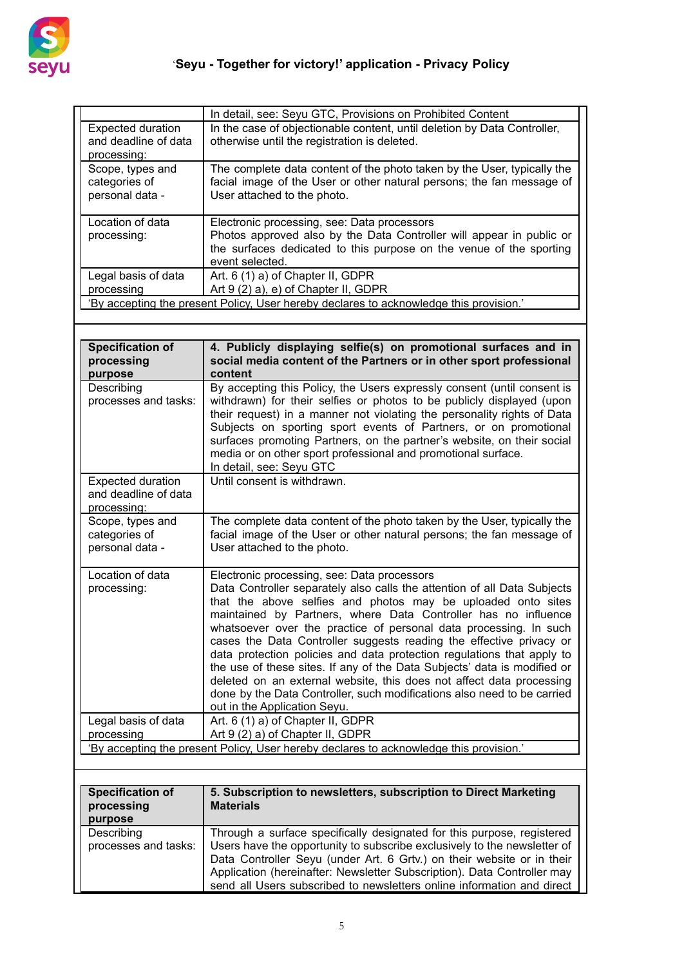

|                                                                 | In detail, see: Seyu GTC, Provisions on Prohibited Content                                                                                                                                                                                                                                                                                                                                                                                                                                                                                                                                                                                                                                                                                     |  |
|-----------------------------------------------------------------|------------------------------------------------------------------------------------------------------------------------------------------------------------------------------------------------------------------------------------------------------------------------------------------------------------------------------------------------------------------------------------------------------------------------------------------------------------------------------------------------------------------------------------------------------------------------------------------------------------------------------------------------------------------------------------------------------------------------------------------------|--|
| <b>Expected duration</b><br>and deadline of data<br>processing: | In the case of objectionable content, until deletion by Data Controller,<br>otherwise until the registration is deleted.                                                                                                                                                                                                                                                                                                                                                                                                                                                                                                                                                                                                                       |  |
| Scope, types and<br>categories of<br>personal data -            | The complete data content of the photo taken by the User, typically the<br>facial image of the User or other natural persons; the fan message of<br>User attached to the photo.                                                                                                                                                                                                                                                                                                                                                                                                                                                                                                                                                                |  |
| Location of data<br>processing:                                 | Electronic processing, see: Data processors<br>Photos approved also by the Data Controller will appear in public or<br>the surfaces dedicated to this purpose on the venue of the sporting<br>event selected.                                                                                                                                                                                                                                                                                                                                                                                                                                                                                                                                  |  |
| Legal basis of data<br>processing                               | Art. 6 (1) a) of Chapter II, GDPR<br>Art 9 (2) a), e) of Chapter II, GDPR                                                                                                                                                                                                                                                                                                                                                                                                                                                                                                                                                                                                                                                                      |  |
|                                                                 | 'By accepting the present Policy, User hereby declares to acknowledge this provision.'                                                                                                                                                                                                                                                                                                                                                                                                                                                                                                                                                                                                                                                         |  |
|                                                                 |                                                                                                                                                                                                                                                                                                                                                                                                                                                                                                                                                                                                                                                                                                                                                |  |
| <b>Specification of</b><br>processing<br>purpose                | 4. Publicly displaying selfie(s) on promotional surfaces and in<br>social media content of the Partners or in other sport professional<br>content                                                                                                                                                                                                                                                                                                                                                                                                                                                                                                                                                                                              |  |
| Describing<br>processes and tasks:                              | By accepting this Policy, the Users expressly consent (until consent is<br>withdrawn) for their selfies or photos to be publicly displayed (upon<br>their request) in a manner not violating the personality rights of Data<br>Subjects on sporting sport events of Partners, or on promotional<br>surfaces promoting Partners, on the partner's website, on their social<br>media or on other sport professional and promotional surface.<br>In detail, see: Seyu GTC                                                                                                                                                                                                                                                                         |  |
| <b>Expected duration</b><br>and deadline of data<br>processing: | Until consent is withdrawn.                                                                                                                                                                                                                                                                                                                                                                                                                                                                                                                                                                                                                                                                                                                    |  |
| Scope, types and<br>categories of<br>personal data -            | The complete data content of the photo taken by the User, typically the<br>facial image of the User or other natural persons; the fan message of<br>User attached to the photo.                                                                                                                                                                                                                                                                                                                                                                                                                                                                                                                                                                |  |
| Location of data<br>processing:                                 | Electronic processing, see: Data processors<br>Data Controller separately also calls the attention of all Data Subjects<br>that the above selfies and photos may be uploaded onto sites<br>maintained by Partners, where Data Controller has no influence<br>whatsoever over the practice of personal data processing. In such<br>cases the Data Controller suggests reading the effective privacy or<br>data protection policies and data protection regulations that apply to<br>the use of these sites. If any of the Data Subjects' data is modified or<br>deleted on an external website, this does not affect data processing<br>done by the Data Controller, such modifications also need to be carried<br>out in the Application Seyu. |  |
| Legal basis of data<br>processing                               | Art. 6 (1) a) of Chapter II, GDPR<br>Art 9 (2) a) of Chapter II, GDPR                                                                                                                                                                                                                                                                                                                                                                                                                                                                                                                                                                                                                                                                          |  |
|                                                                 | 'By accepting the present Policy, User hereby declares to acknowledge this provision.'                                                                                                                                                                                                                                                                                                                                                                                                                                                                                                                                                                                                                                                         |  |

| <b>Specification of</b><br>processing<br>purpose | 5. Subscription to newsletters, subscription to Direct Marketing<br><b>Materials</b>                                                                                                                                                                                                                                                                                              |  |
|--------------------------------------------------|-----------------------------------------------------------------------------------------------------------------------------------------------------------------------------------------------------------------------------------------------------------------------------------------------------------------------------------------------------------------------------------|--|
| Describing<br>processes and tasks:               | Through a surface specifically designated for this purpose, registered<br>Users have the opportunity to subscribe exclusively to the newsletter of<br>Data Controller Seyu (under Art. 6 Grtv.) on their website or in their<br>Application (hereinafter: Newsletter Subscription). Data Controller may<br>send all Users subscribed to newsletters online information and direct |  |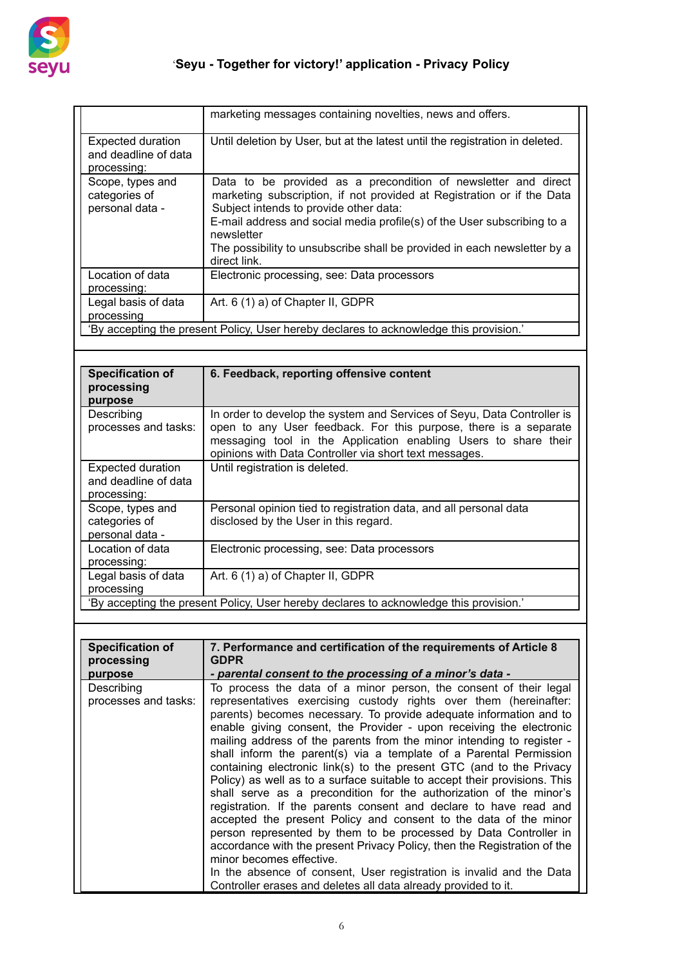

|                                                                                        | marketing messages containing novelties, news and offers.                                                                                                                                                                                                                                                                                                               |
|----------------------------------------------------------------------------------------|-------------------------------------------------------------------------------------------------------------------------------------------------------------------------------------------------------------------------------------------------------------------------------------------------------------------------------------------------------------------------|
| <b>Expected duration</b><br>and deadline of data<br>processing:                        | Until deletion by User, but at the latest until the registration in deleted.                                                                                                                                                                                                                                                                                            |
| Scope, types and<br>categories of<br>personal data -                                   | Data to be provided as a precondition of newsletter and direct<br>marketing subscription, if not provided at Registration or if the Data<br>Subject intends to provide other data:<br>E-mail address and social media profile(s) of the User subscribing to a<br>newsletter<br>The possibility to unsubscribe shall be provided in each newsletter by a<br>direct link. |
| Location of data<br>processing:                                                        | Electronic processing, see: Data processors                                                                                                                                                                                                                                                                                                                             |
| Legal basis of data<br>processing                                                      | Art. 6 (1) a) of Chapter II, GDPR                                                                                                                                                                                                                                                                                                                                       |
| 'By accepting the present Policy, User hereby declares to acknowledge this provision.' |                                                                                                                                                                                                                                                                                                                                                                         |

| <b>Specification of</b><br>processing<br>purpose                                       | 6. Feedback, reporting offensive content                                                                                                                                                                                                                                 |
|----------------------------------------------------------------------------------------|--------------------------------------------------------------------------------------------------------------------------------------------------------------------------------------------------------------------------------------------------------------------------|
| Describing<br>processes and tasks:                                                     | In order to develop the system and Services of Seyu, Data Controller is<br>open to any User feedback. For this purpose, there is a separate<br>messaging tool in the Application enabling Users to share their<br>opinions with Data Controller via short text messages. |
| <b>Expected duration</b><br>and deadline of data<br>processing:                        | Until registration is deleted.                                                                                                                                                                                                                                           |
| Scope, types and<br>categories of<br>personal data -                                   | Personal opinion tied to registration data, and all personal data<br>disclosed by the User in this regard.                                                                                                                                                               |
| Location of data<br>processing:                                                        | Electronic processing, see: Data processors                                                                                                                                                                                                                              |
| Legal basis of data<br>processing                                                      | Art. 6 (1) a) of Chapter II, GDPR                                                                                                                                                                                                                                        |
| 'By accepting the present Policy, User hereby declares to acknowledge this provision.' |                                                                                                                                                                                                                                                                          |

| <b>Specification of</b>            | 7. Performance and certification of the requirements of Article 8                                                                                                                                                                                                                                                                                                                                                                                                                                                                                                                                                                                                                                                                                                                                                                                                                                                                                                                                                                                                                                                            |  |
|------------------------------------|------------------------------------------------------------------------------------------------------------------------------------------------------------------------------------------------------------------------------------------------------------------------------------------------------------------------------------------------------------------------------------------------------------------------------------------------------------------------------------------------------------------------------------------------------------------------------------------------------------------------------------------------------------------------------------------------------------------------------------------------------------------------------------------------------------------------------------------------------------------------------------------------------------------------------------------------------------------------------------------------------------------------------------------------------------------------------------------------------------------------------|--|
| processing                         | <b>GDPR</b>                                                                                                                                                                                                                                                                                                                                                                                                                                                                                                                                                                                                                                                                                                                                                                                                                                                                                                                                                                                                                                                                                                                  |  |
| purpose                            | - parental consent to the processing of a minor's data -                                                                                                                                                                                                                                                                                                                                                                                                                                                                                                                                                                                                                                                                                                                                                                                                                                                                                                                                                                                                                                                                     |  |
| Describing<br>processes and tasks: | To process the data of a minor person, the consent of their legal<br>representatives exercising custody rights over them (hereinafter:<br>parents) becomes necessary. To provide adequate information and to<br>enable giving consent, the Provider - upon receiving the electronic<br>mailing address of the parents from the minor intending to register -<br>shall inform the parent(s) via a template of a Parental Permission<br>containing electronic link(s) to the present GTC (and to the Privacy<br>Policy) as well as to a surface suitable to accept their provisions. This<br>shall serve as a precondition for the authorization of the minor's<br>registration. If the parents consent and declare to have read and<br>accepted the present Policy and consent to the data of the minor<br>person represented by them to be processed by Data Controller in<br>accordance with the present Privacy Policy, then the Registration of the<br>minor becomes effective.<br>In the absence of consent, User registration is invalid and the Data<br>Controller erases and deletes all data already provided to it. |  |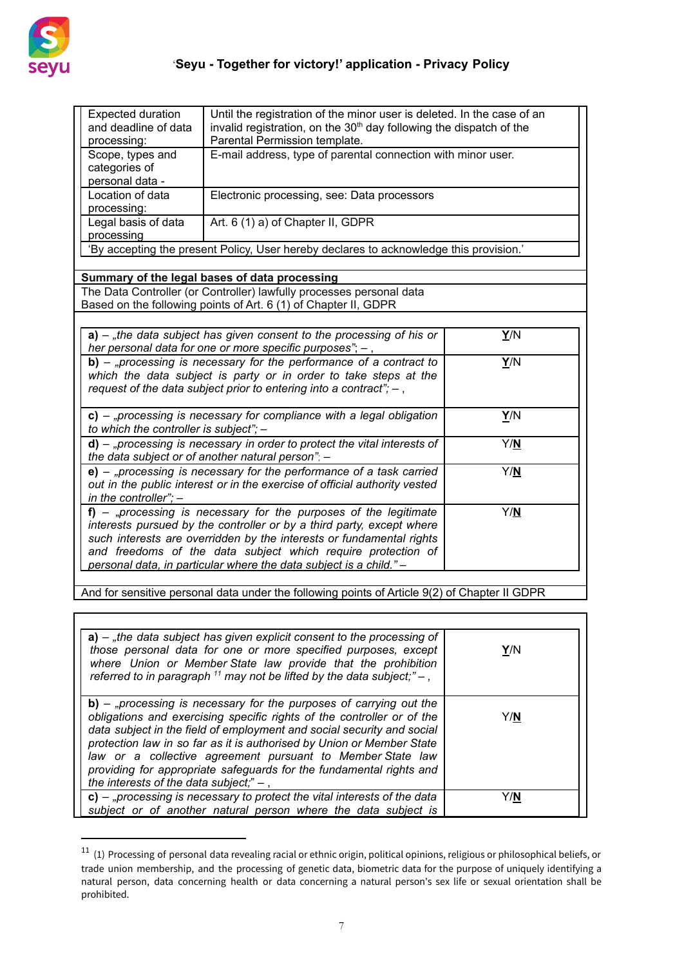

| <b>Expected duration</b><br>and deadline of data<br>processing:                                                                                                                                                                                                                                                                                                   | Until the registration of the minor user is deleted. In the case of an<br>invalid registration, on the 30 <sup>th</sup> day following the dispatch of the<br>Parental Permission template.                         |     |
|-------------------------------------------------------------------------------------------------------------------------------------------------------------------------------------------------------------------------------------------------------------------------------------------------------------------------------------------------------------------|--------------------------------------------------------------------------------------------------------------------------------------------------------------------------------------------------------------------|-----|
| Scope, types and<br>categories of<br>personal data -                                                                                                                                                                                                                                                                                                              | E-mail address, type of parental connection with minor user.                                                                                                                                                       |     |
| Location of data<br>processing:                                                                                                                                                                                                                                                                                                                                   | Electronic processing, see: Data processors                                                                                                                                                                        |     |
| Legal basis of data<br>processing                                                                                                                                                                                                                                                                                                                                 | Art. 6 (1) a) of Chapter II, GDPR                                                                                                                                                                                  |     |
| 'By accepting the present Policy, User hereby declares to acknowledge this provision.'                                                                                                                                                                                                                                                                            |                                                                                                                                                                                                                    |     |
|                                                                                                                                                                                                                                                                                                                                                                   | Summary of the legal bases of data processing                                                                                                                                                                      |     |
|                                                                                                                                                                                                                                                                                                                                                                   | The Data Controller (or Controller) lawfully processes personal data<br>Based on the following points of Art. 6 (1) of Chapter II, GDPR                                                                            |     |
|                                                                                                                                                                                                                                                                                                                                                                   | $a$ ) – "the data subject has given consent to the processing of his or<br>her personal data for one or more specific purposes"; $-$ ,                                                                             | Y/N |
|                                                                                                                                                                                                                                                                                                                                                                   | $b$ ) – "processing is necessary for the performance of a contract to<br>which the data subject is party or in order to take steps at the<br>request of the data subject prior to entering into a contract"; $-$ , | Y/N |
| to which the controller is subject"; -                                                                                                                                                                                                                                                                                                                            | $c$ ) – "processing is necessary for compliance with a legal obligation                                                                                                                                            | Y/N |
|                                                                                                                                                                                                                                                                                                                                                                   | $d$ ) – "processing is necessary in order to protect the vital interests of<br>the data subject or of another natural person"; -                                                                                   | Y/N |
| in the controller"; $-$                                                                                                                                                                                                                                                                                                                                           | $e$ ) – "processing is necessary for the performance of a task carried<br>out in the public interest or in the exercise of official authority vested                                                               | Y/N |
| $f$ ) – "processing is necessary for the purposes of the legitimate<br>Y/N<br>interests pursued by the controller or by a third party, except where<br>such interests are overridden by the interests or fundamental rights<br>and freedoms of the data subject which require protection of<br>personal data, in particular where the data subject is a child." - |                                                                                                                                                                                                                    |     |
|                                                                                                                                                                                                                                                                                                                                                                   | And for sensitive personal data under the following points of Article 9(2) of Chapter II GDPR                                                                                                                      |     |

| $a$ ) – "the data subject has given explicit consent to the processing of<br>those personal data for one or more specified purposes, except<br>where Union or Member State law provide that the prohibition<br>referred to in paragraph $^{11}$ may not be lifted by the data subject;" $-$ ,                                                                                                                                                                                        | Y/N |
|--------------------------------------------------------------------------------------------------------------------------------------------------------------------------------------------------------------------------------------------------------------------------------------------------------------------------------------------------------------------------------------------------------------------------------------------------------------------------------------|-----|
| $b$ ) – "processing is necessary for the purposes of carrying out the<br>obligations and exercising specific rights of the controller or of the<br>data subject in the field of employment and social security and social<br>protection law in so far as it is authorised by Union or Member State<br>law or a collective agreement pursuant to Member State law<br>providing for appropriate safeguards for the fundamental rights and<br>the interests of the data subject;" $-$ , | Y/N |
| $c$ ) – "processing is necessary to protect the vital interests of the data<br>subject or of another natural person where the data subject is                                                                                                                                                                                                                                                                                                                                        | Y/N |

 $^{11}$  (1) Processing of personal data revealing racial or ethnic origin, political opinions, religious or philosophical beliefs, or trade union membership, and the processing of genetic data, biometric data for the purpose of uniquely identifying a natural person, data concerning health or data concerning a natural person's sex life or sexual orientation shall be prohibited.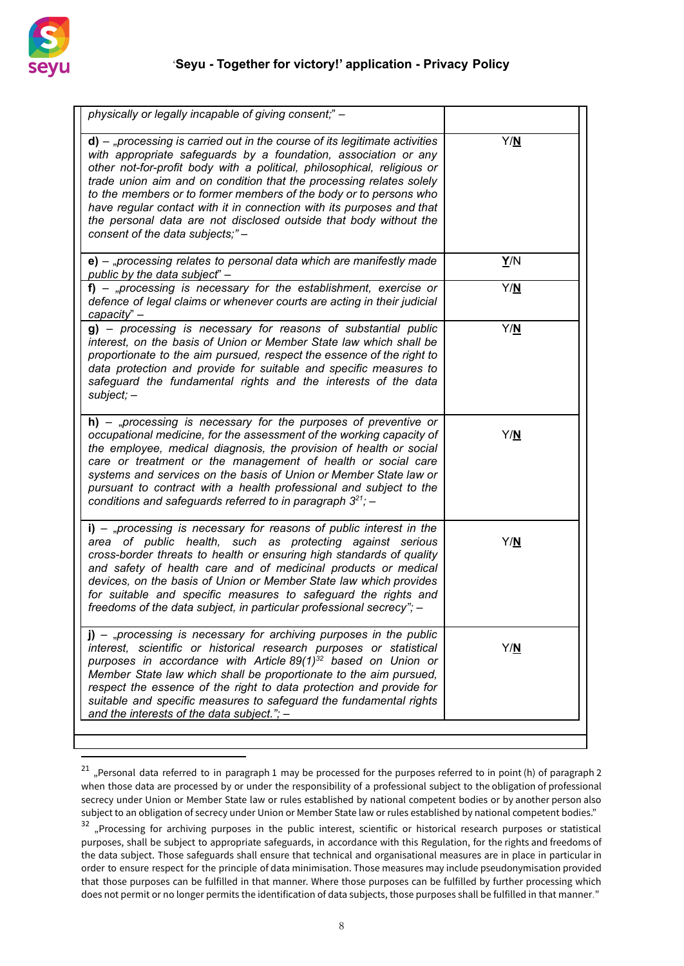

| Y/N<br>$d$ ) – "processing is carried out in the course of its legitimate activities<br>with appropriate safeguards by a foundation, association or any<br>other not-for-profit body with a political, philosophical, religious or<br>trade union aim and on condition that the processing relates solely<br>to the members or to former members of the body or to persons who<br>have regular contact with it in connection with its purposes and that<br>the personal data are not disclosed outside that body without the<br>consent of the data subjects;"-<br>Y/N<br>$e$ ) – "processing relates to personal data which are manifestly made<br>public by the data subject" -<br>$f$ ) – "processing is necessary for the establishment, exercise or<br>Y/N<br>defence of legal claims or whenever courts are acting in their judicial<br>capacity" -<br>Y/N<br>g) - processing is necessary for reasons of substantial public<br>interest, on the basis of Union or Member State law which shall be<br>proportionate to the aim pursued, respect the essence of the right to<br>data protection and provide for suitable and specific measures to<br>safeguard the fundamental rights and the interests of the data<br>$subject; -$<br>$h$ ) – "processing is necessary for the purposes of preventive or<br>Y/N<br>occupational medicine, for the assessment of the working capacity of<br>the employee, medical diagnosis, the provision of health or social<br>care or treatment or the management of health or social care<br>systems and services on the basis of Union or Member State law or<br>pursuant to contract with a health professional and subject to the<br>conditions and safeguards referred to in paragraph $3^{21}$ ; -<br>$i)$ – "processing is necessary for reasons of public interest in the<br>Y/N<br>area of public health, such as protecting against serious<br>cross-border threats to health or ensuring high standards of quality<br>and safety of health care and of medicinal products or medical<br>devices, on the basis of Union or Member State law which provides<br>for suitable and specific measures to safeguard the rights and<br>freedoms of the data subject, in particular professional secrecy"; -<br>$j$ ) – "processing is necessary for archiving purposes in the public<br>interest, scientific or historical research purposes or statistical<br>Y/N<br>purposes in accordance with Article 89(1) <sup>32</sup> based on Union or<br>Member State law which shall be proportionate to the aim pursued,<br>respect the essence of the right to data protection and provide for<br>suitable and specific measures to safeguard the fundamental rights<br>and the interests of the data subject."; $-$ | physically or legally incapable of giving consent;" - |  |
|---------------------------------------------------------------------------------------------------------------------------------------------------------------------------------------------------------------------------------------------------------------------------------------------------------------------------------------------------------------------------------------------------------------------------------------------------------------------------------------------------------------------------------------------------------------------------------------------------------------------------------------------------------------------------------------------------------------------------------------------------------------------------------------------------------------------------------------------------------------------------------------------------------------------------------------------------------------------------------------------------------------------------------------------------------------------------------------------------------------------------------------------------------------------------------------------------------------------------------------------------------------------------------------------------------------------------------------------------------------------------------------------------------------------------------------------------------------------------------------------------------------------------------------------------------------------------------------------------------------------------------------------------------------------------------------------------------------------------------------------------------------------------------------------------------------------------------------------------------------------------------------------------------------------------------------------------------------------------------------------------------------------------------------------------------------------------------------------------------------------------------------------------------------------------------------------------------------------------------------------------------------------------------------------------------------------------------------------------------------------------------------------------------------------------------------------------------------------------------------------------------------------------------------------------------------------------------------------------------------------------------------------------------------------------------------------------------------------------------------------------------------|-------------------------------------------------------|--|
|                                                                                                                                                                                                                                                                                                                                                                                                                                                                                                                                                                                                                                                                                                                                                                                                                                                                                                                                                                                                                                                                                                                                                                                                                                                                                                                                                                                                                                                                                                                                                                                                                                                                                                                                                                                                                                                                                                                                                                                                                                                                                                                                                                                                                                                                                                                                                                                                                                                                                                                                                                                                                                                                                                                                                               |                                                       |  |
|                                                                                                                                                                                                                                                                                                                                                                                                                                                                                                                                                                                                                                                                                                                                                                                                                                                                                                                                                                                                                                                                                                                                                                                                                                                                                                                                                                                                                                                                                                                                                                                                                                                                                                                                                                                                                                                                                                                                                                                                                                                                                                                                                                                                                                                                                                                                                                                                                                                                                                                                                                                                                                                                                                                                                               |                                                       |  |
|                                                                                                                                                                                                                                                                                                                                                                                                                                                                                                                                                                                                                                                                                                                                                                                                                                                                                                                                                                                                                                                                                                                                                                                                                                                                                                                                                                                                                                                                                                                                                                                                                                                                                                                                                                                                                                                                                                                                                                                                                                                                                                                                                                                                                                                                                                                                                                                                                                                                                                                                                                                                                                                                                                                                                               |                                                       |  |
|                                                                                                                                                                                                                                                                                                                                                                                                                                                                                                                                                                                                                                                                                                                                                                                                                                                                                                                                                                                                                                                                                                                                                                                                                                                                                                                                                                                                                                                                                                                                                                                                                                                                                                                                                                                                                                                                                                                                                                                                                                                                                                                                                                                                                                                                                                                                                                                                                                                                                                                                                                                                                                                                                                                                                               |                                                       |  |
|                                                                                                                                                                                                                                                                                                                                                                                                                                                                                                                                                                                                                                                                                                                                                                                                                                                                                                                                                                                                                                                                                                                                                                                                                                                                                                                                                                                                                                                                                                                                                                                                                                                                                                                                                                                                                                                                                                                                                                                                                                                                                                                                                                                                                                                                                                                                                                                                                                                                                                                                                                                                                                                                                                                                                               |                                                       |  |
|                                                                                                                                                                                                                                                                                                                                                                                                                                                                                                                                                                                                                                                                                                                                                                                                                                                                                                                                                                                                                                                                                                                                                                                                                                                                                                                                                                                                                                                                                                                                                                                                                                                                                                                                                                                                                                                                                                                                                                                                                                                                                                                                                                                                                                                                                                                                                                                                                                                                                                                                                                                                                                                                                                                                                               |                                                       |  |
|                                                                                                                                                                                                                                                                                                                                                                                                                                                                                                                                                                                                                                                                                                                                                                                                                                                                                                                                                                                                                                                                                                                                                                                                                                                                                                                                                                                                                                                                                                                                                                                                                                                                                                                                                                                                                                                                                                                                                                                                                                                                                                                                                                                                                                                                                                                                                                                                                                                                                                                                                                                                                                                                                                                                                               |                                                       |  |

<sup>&</sup>lt;sup>21</sup> "Personal data referred to in paragraph 1 may be processed for the purposes referred to in point (h) of paragraph 2 when those data are processed by or under the responsibility of a professional subject to the obligation of professional secrecy under Union or Member State law or rules established by national competent bodies or by another person also subject to an obligation of secrecy under Union or Member State law or rules established by national competent bodies."

<sup>&</sup>lt;sup>32</sup> "Processing for archiving purposes in the public interest, scientific or historical research purposes or statistical purposes, shall be subject to appropriate safeguards, in accordance with this Regulation, for the rights and freedoms of the data subject. Those safeguards shall ensure that technical and organisational measures are in place in particular in order to ensure respect for the principle of data minimisation. Those measures may include pseudonymisation provided that those purposes can be fulfilled in that manner. Where those purposes can be fulfilled by further processing which does not permit or no longer permits the identification of data subjects, those purposes shall be fulfilled in that manner."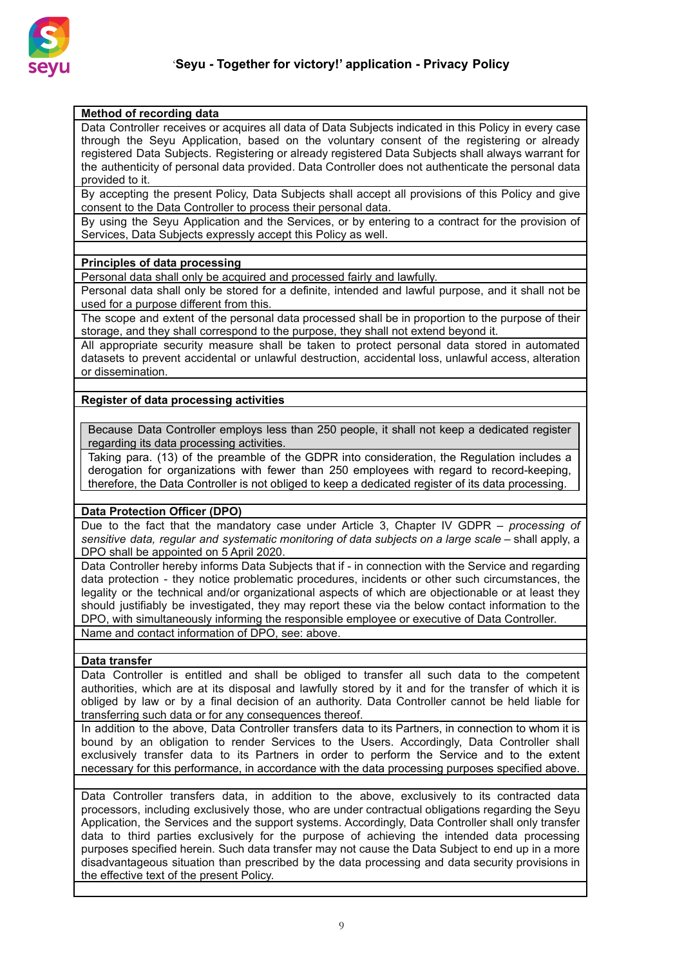

## **Method of recording data**

Data Controller receives or acquires all data of Data Subjects indicated in this Policy in every case through the Seyu Application, based on the voluntary consent of the registering or already registered Data Subjects. Registering or already registered Data Subjects shall always warrant for the authenticity of personal data provided. Data Controller does not authenticate the personal data provided to it.

By accepting the present Policy, Data Subjects shall accept all provisions of this Policy and give consent to the Data Controller to process their personal data.

By using the Seyu Application and the Services, or by entering to a contract for the provision of Services, Data Subjects expressly accept this Policy as well.

### **Principles of data processing**

Personal data shall only be acquired and processed fairly and lawfully.

Personal data shall only be stored for a definite, intended and lawful purpose, and it shall not be used for a purpose different from this.

The scope and extent of the personal data processed shall be in proportion to the purpose of their storage, and they shall correspond to the purpose, they shall not extend beyond it.

All appropriate security measure shall be taken to protect personal data stored in automated datasets to prevent accidental or unlawful destruction, accidental loss, unlawful access, alteration or dissemination.

# **Register of data processing activities**

Because Data Controller employs less than 250 people, it shall not keep a dedicated register regarding its data processing activities.

Taking para. (13) of the preamble of the GDPR into consideration, the Regulation includes a derogation for organizations with fewer than 250 employees with regard to record-keeping, therefore, the Data Controller is not obliged to keep a dedicated register of its data processing.

### **Data Protection Officer (DPO)**

Due to the fact that the mandatory case under Article 3, Chapter IV GDPR – *processing of sensitive data, regular and systematic monitoring of data subjects on a large scale* – shall apply, a DPO shall be appointed on 5 April 2020.

Data Controller hereby informs Data Subjects that if - in connection with the Service and regarding data protection - they notice problematic procedures, incidents or other such circumstances, the legality or the technical and/or organizational aspects of which are objectionable or at least they should justifiably be investigated, they may report these via the below contact information to the DPO, with simultaneously informing the responsible employee or executive of Data Controller.

Name and contact information of DPO, see: above.

# **Data transfer**

Data Controller is entitled and shall be obliged to transfer all such data to the competent authorities, which are at its disposal and lawfully stored by it and for the transfer of which it is obliged by law or by a final decision of an authority. Data Controller cannot be held liable for transferring such data or for any consequences thereof.

In addition to the above, Data Controller transfers data to its Partners, in connection to whom it is bound by an obligation to render Services to the Users. Accordingly, Data Controller shall exclusively transfer data to its Partners in order to perform the Service and to the extent necessary for this performance, in accordance with the data processing purposes specified above.

Data Controller transfers data, in addition to the above, exclusively to its contracted data processors, including exclusively those, who are under contractual obligations regarding the Seyu Application, the Services and the support systems. Accordingly, Data Controller shall only transfer data to third parties exclusively for the purpose of achieving the intended data processing purposes specified herein. Such data transfer may not cause the Data Subject to end up in a more disadvantageous situation than prescribed by the data processing and data security provisions in the effective text of the present Policy.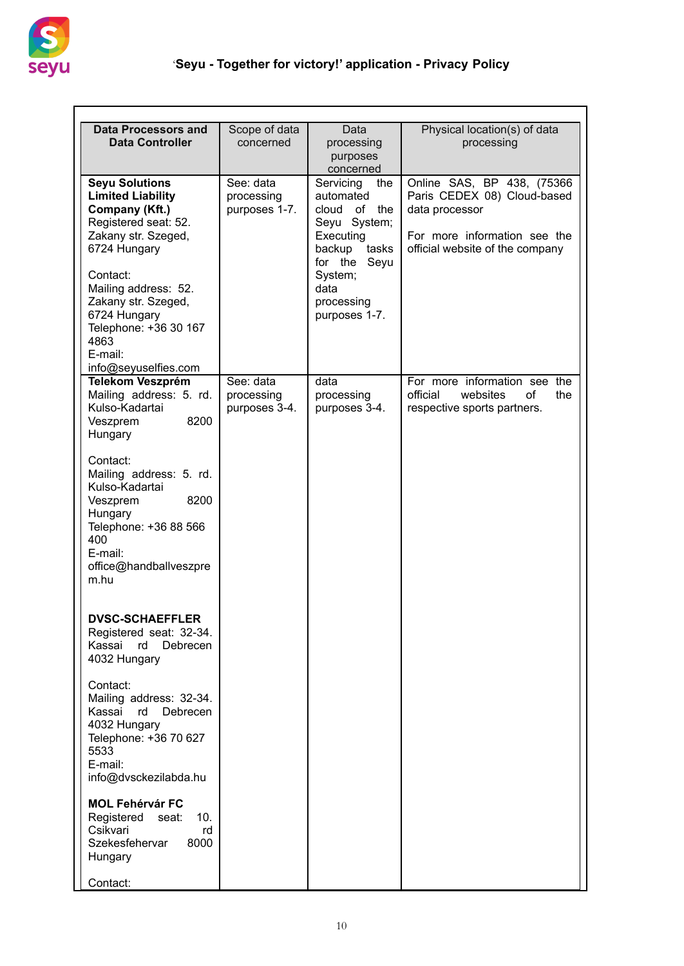

| <b>Data Processors and</b>               | Scope of data | Data                      | Physical location(s) of data      |
|------------------------------------------|---------------|---------------------------|-----------------------------------|
| <b>Data Controller</b>                   | concerned     | processing                | processing                        |
|                                          |               | purposes                  |                                   |
|                                          |               | concerned                 |                                   |
| <b>Seyu Solutions</b>                    | See: data     | Servicing<br>the          | Online SAS, BP 438, (75366        |
| <b>Limited Liability</b>                 | processing    | automated                 | Paris CEDEX 08) Cloud-based       |
| Company (Kft.)                           | purposes 1-7. | of<br>cloud<br>the        | data processor                    |
| Registered seat: 52.                     |               | Seyu System;              | For more information see the      |
| Zakany str. Szeged,<br>6724 Hungary      |               | Executing<br>backup tasks |                                   |
|                                          |               | for the Seyu              | official website of the company   |
| Contact:                                 |               | System;                   |                                   |
| Mailing address: 52.                     |               | data                      |                                   |
| Zakany str. Szeged,                      |               | processing                |                                   |
| 6724 Hungary                             |               | purposes 1-7.             |                                   |
| Telephone: +36 30 167                    |               |                           |                                   |
| 4863                                     |               |                           |                                   |
| E-mail:                                  |               |                           |                                   |
| info@seyuselfies.com                     |               |                           |                                   |
| <b>Telekom Veszprém</b>                  | See: data     | data                      | For more information see the      |
| Mailing address: 5. rd.                  | processing    | processing                | official<br>websites<br>οf<br>the |
| Kulso-Kadartai                           | purposes 3-4. | purposes 3-4.             | respective sports partners.       |
| 8200<br>Veszprem                         |               |                           |                                   |
| Hungary                                  |               |                           |                                   |
| Contact:                                 |               |                           |                                   |
| Mailing address: 5. rd.                  |               |                           |                                   |
| Kulso-Kadartai                           |               |                           |                                   |
| 8200<br>Veszprem                         |               |                           |                                   |
| Hungary                                  |               |                           |                                   |
| Telephone: +36 88 566                    |               |                           |                                   |
| 400                                      |               |                           |                                   |
| E-mail:                                  |               |                           |                                   |
| office@handballveszpre                   |               |                           |                                   |
| m.hu                                     |               |                           |                                   |
|                                          |               |                           |                                   |
|                                          |               |                           |                                   |
| <b>DVSC-SCHAEFFLER</b>                   |               |                           |                                   |
| Registered seat: 32-34.                  |               |                           |                                   |
| Kassai rd<br>Debrecen                    |               |                           |                                   |
| 4032 Hungary                             |               |                           |                                   |
| Contact:                                 |               |                           |                                   |
| Mailing address: 32-34.                  |               |                           |                                   |
| Kassai<br>rd<br>Debrecen                 |               |                           |                                   |
| 4032 Hungary                             |               |                           |                                   |
| Telephone: +36 70 627                    |               |                           |                                   |
| 5533                                     |               |                           |                                   |
| E-mail:                                  |               |                           |                                   |
| info@dvsckezilabda.hu                    |               |                           |                                   |
|                                          |               |                           |                                   |
| <b>MOL Fehérvár FC</b>                   |               |                           |                                   |
| Registered<br>10.<br>seat:               |               |                           |                                   |
| Csikvari<br>rd<br>8000<br>Szekesfehervar |               |                           |                                   |
| Hungary                                  |               |                           |                                   |
|                                          |               |                           |                                   |
| Contact:                                 |               |                           |                                   |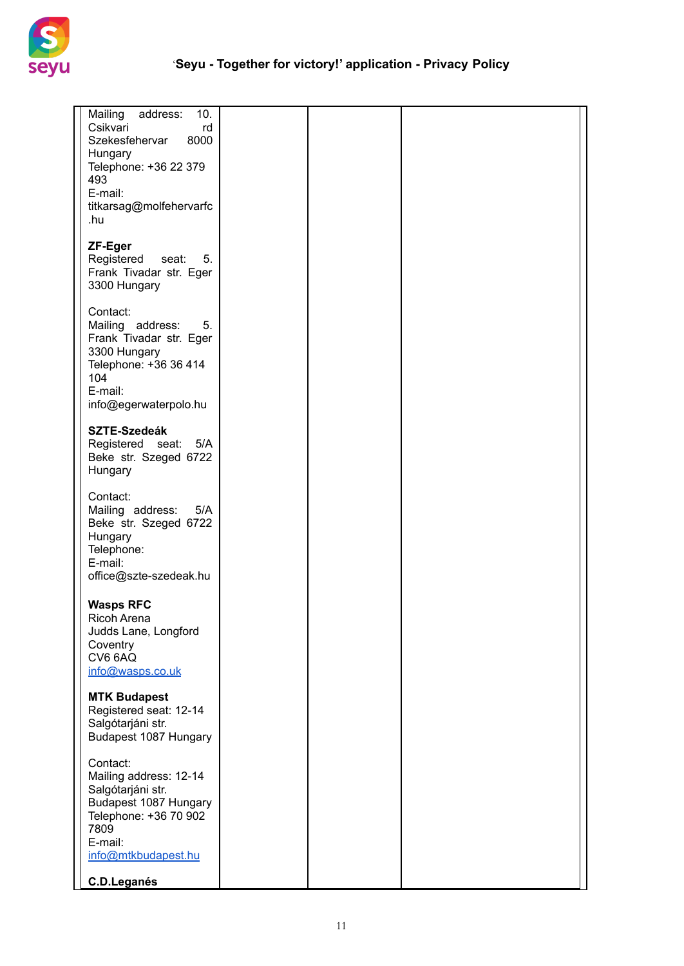

| Mailing<br>address:<br>10.<br>Csikvari<br>rd<br>Szekesfehervar<br>8000<br>Hungary<br>Telephone: +36 22 379<br>493<br>E-mail:<br>titkarsag@molfehervarfc<br>.hu |  |  |
|----------------------------------------------------------------------------------------------------------------------------------------------------------------|--|--|
| ZF-Eger<br>Registered seat: 5.<br>Frank Tivadar str. Eger<br>3300 Hungary                                                                                      |  |  |
| Contact:<br>Mailing address:<br>5.<br>Frank Tivadar str. Eger<br>3300 Hungary<br>Telephone: +36 36 414<br>104<br>E-mail:<br>info@egerwaterpolo.hu              |  |  |
| <b>SZTE-Szedeák</b><br>Registered seat: 5/A<br>Beke str. Szeged 6722<br>Hungary                                                                                |  |  |
| Contact:<br>Mailing address: 5/A<br>Beke str. Szeged 6722<br>Hungary<br>Telephone:<br>E-mail:<br>office@szte-szedeak.hu                                        |  |  |
| <b>Wasps RFC</b><br>Ricoh Arena<br>Judds Lane, Longford<br>Coventry<br>CV6 6AQ<br>info@wasps.co.uk                                                             |  |  |
| <b>MTK Budapest</b><br>Registered seat: 12-14<br>Salgótarjáni str.<br>Budapest 1087 Hungary                                                                    |  |  |
| Contact:<br>Mailing address: 12-14<br>Salgótarjáni str.<br>Budapest 1087 Hungary<br>Telephone: +36 70 902<br>7809<br>E-mail:<br>info@mtkbudapest.hu            |  |  |
| C.D.Leganés                                                                                                                                                    |  |  |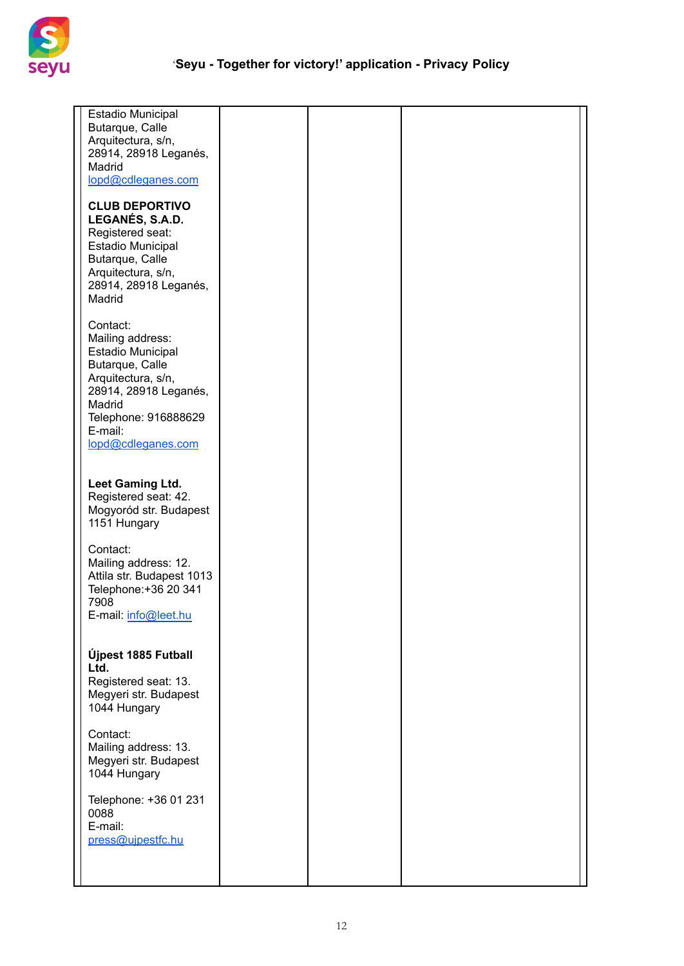

| <b>Estadio Municipal</b><br>Butarque, Calle<br>Arquitectura, s/n,<br>28914, 28918 Leganés,<br>Madrid<br>lopd@cdleganes.com                                                                    |  |  |
|-----------------------------------------------------------------------------------------------------------------------------------------------------------------------------------------------|--|--|
| <b>CLUB DEPORTIVO</b><br>LEGANÉS, S.A.D.<br>Registered seat:<br>Estadio Municipal<br>Butarque, Calle<br>Arquitectura, s/n,<br>28914, 28918 Leganés,<br>Madrid                                 |  |  |
| Contact:<br>Mailing address:<br><b>Estadio Municipal</b><br>Butarque, Calle<br>Arquitectura, s/n,<br>28914, 28918 Leganés,<br>Madrid<br>Telephone: 916888629<br>E-mail:<br>lopd@cdleganes.com |  |  |
| Leet Gaming Ltd.<br>Registered seat: 42.<br>Mogyoród str. Budapest<br>1151 Hungary                                                                                                            |  |  |
| Contact:<br>Mailing address: 12.<br>Attila str. Budapest 1013<br>Telephone: +36 20 341<br>7908<br>E-mail: info@leet.hu                                                                        |  |  |
| Újpest 1885 Futball<br>Ltd.<br>Registered seat: 13.<br>Megyeri str. Budapest<br>1044 Hungary                                                                                                  |  |  |
| Contact:<br>Mailing address: 13.<br>Megyeri str. Budapest<br>1044 Hungary                                                                                                                     |  |  |
| Telephone: +36 01 231<br>0088<br>E-mail:<br>press@ujpestfc.hu                                                                                                                                 |  |  |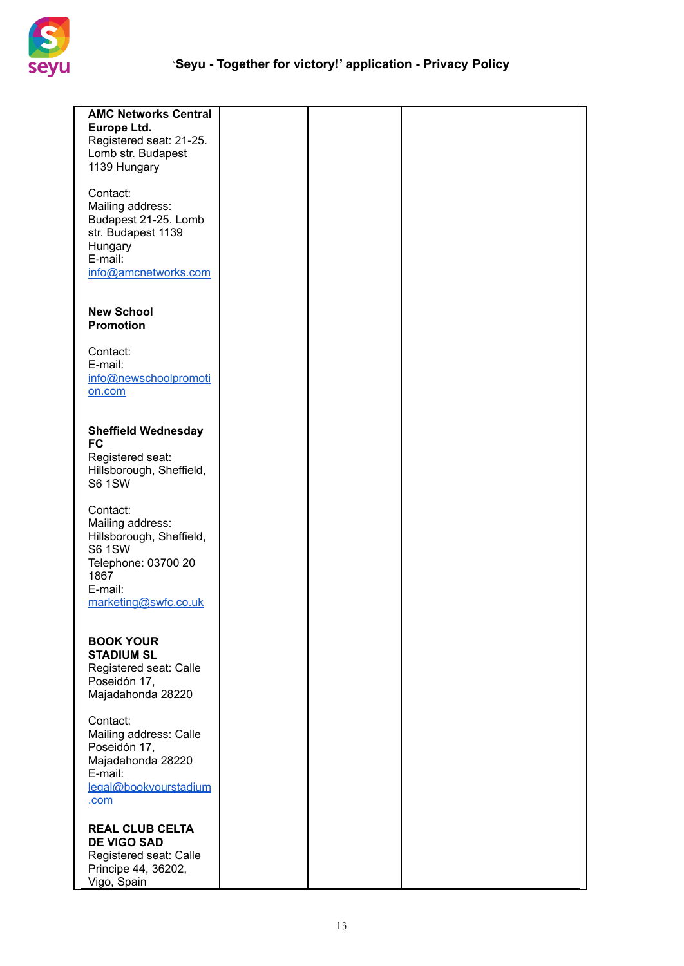

| <b>AMC Networks Central</b><br>Europe Ltd.<br>Registered seat: 21-25.<br>Lomb str. Budapest<br>1139 Hungary                                 |  |  |
|---------------------------------------------------------------------------------------------------------------------------------------------|--|--|
| Contact:<br>Mailing address:<br>Budapest 21-25. Lomb<br>str. Budapest 1139<br>Hungary<br>E-mail:<br>info@amcnetworks.com                    |  |  |
| <b>New School</b><br><b>Promotion</b>                                                                                                       |  |  |
| Contact:<br>E-mail:<br>info@newschoolpromoti<br>on.com                                                                                      |  |  |
| <b>Sheffield Wednesday</b><br><b>FC</b><br>Registered seat:<br>Hillsborough, Sheffield,<br><b>S6 1SW</b>                                    |  |  |
| Contact:<br>Mailing address:<br>Hillsborough, Sheffield,<br><b>S6 1SW</b><br>Telephone: 03700 20<br>1867<br>E-mail:<br>marketing@swfc.co.uk |  |  |
| <b>BOOK YOUR</b><br><b>STADIUM SL</b><br>Registered seat: Calle<br>Poseidón 17,<br>Majadahonda 28220                                        |  |  |
| Contact:<br>Mailing address: Calle<br>Poseidón 17,<br>Majadahonda 28220<br>E-mail:<br>legal@bookyourstadium<br>.com                         |  |  |
| <b>REAL CLUB CELTA</b><br><b>DE VIGO SAD</b><br>Registered seat: Calle<br>Principe 44, 36202,<br>Vigo, Spain                                |  |  |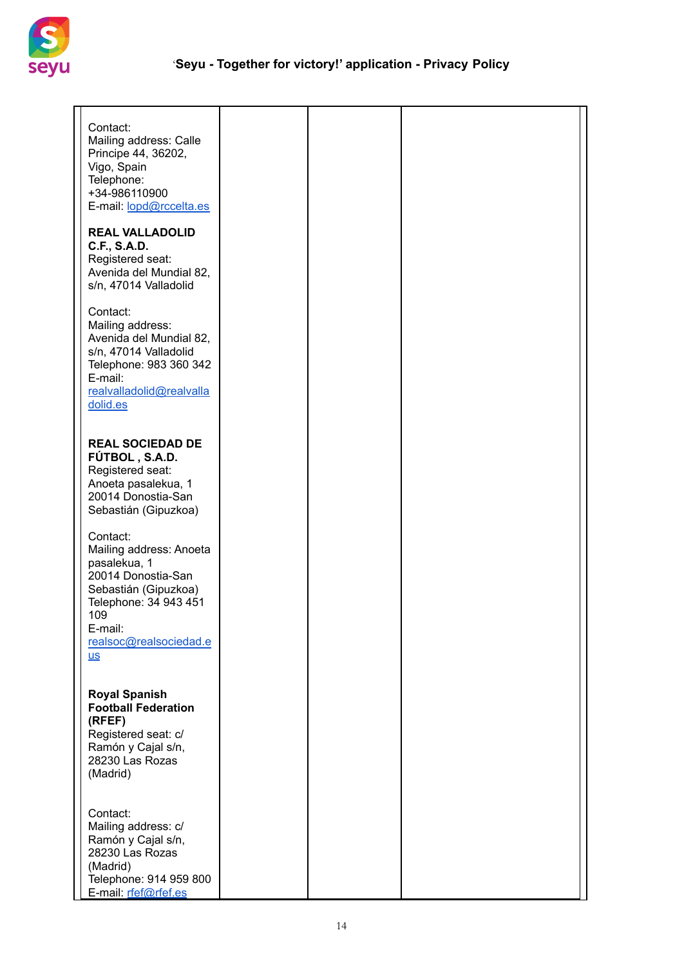

| Contact:<br>Mailing address: Calle<br>Principe 44, 36202,<br>Vigo, Spain<br>Telephone:<br>+34-986110900<br>E-mail: lopd@rccelta.es                                             |  |  |
|--------------------------------------------------------------------------------------------------------------------------------------------------------------------------------|--|--|
| <b>REAL VALLADOLID</b><br>C.F., S.A.D.<br>Registered seat:<br>Avenida del Mundial 82,<br>s/n, 47014 Valladolid                                                                 |  |  |
| Contact:<br>Mailing address:<br>Avenida del Mundial 82,<br>s/n, 47014 Valladolid<br>Telephone: 983 360 342<br>E-mail:<br>realvalladolid@realvalla<br>dolid.es                  |  |  |
| <b>REAL SOCIEDAD DE</b><br>FÚTBOL, S.A.D.<br>Registered seat:<br>Anoeta pasalekua, 1<br>20014 Donostia-San<br>Sebastián (Gipuzkoa)                                             |  |  |
| Contact:<br>Mailing address: Anoeta<br>pasalekua, 1<br>20014 Donostia-San<br>Sebastián (Gipuzkoa)<br>Telephone: 34 943 451<br>109<br>E-mail:<br>realsoc@realsociedad.e<br>$us$ |  |  |
| <b>Royal Spanish</b><br><b>Football Federation</b><br>(RFEF)<br>Registered seat: c/<br>Ramón y Cajal s/n,<br>28230 Las Rozas<br>(Madrid)                                       |  |  |
| Contact:<br>Mailing address: c/<br>Ramón y Cajal s/n,<br>28230 Las Rozas<br>(Madrid)<br>Telephone: 914 959 800<br>E-mail: rfef@rfef.es                                         |  |  |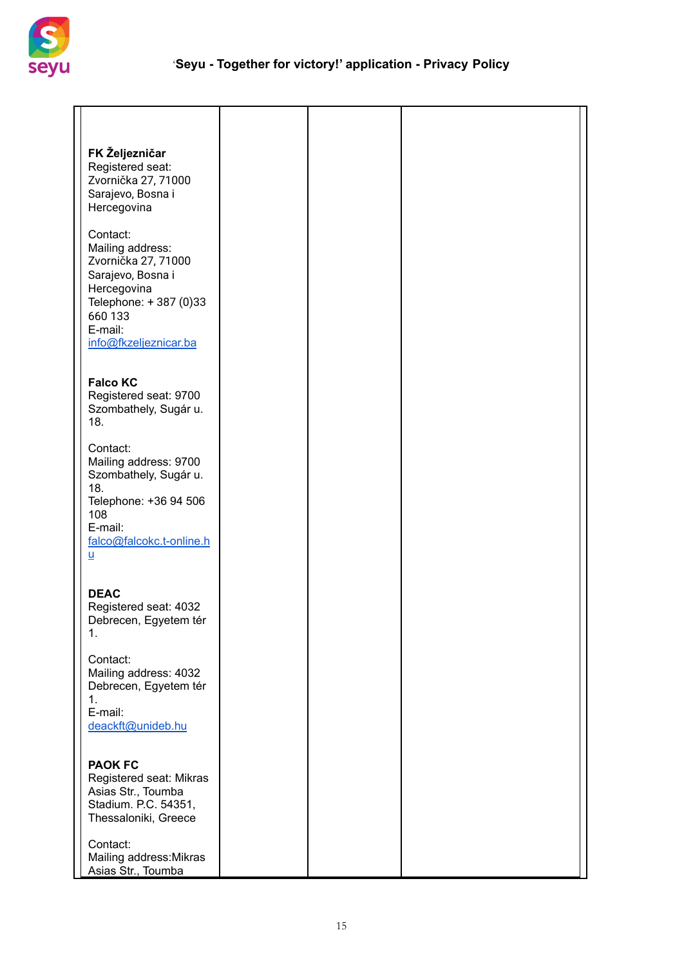

| FK Željezničar<br>Registered seat:<br>Zvornička 27, 71000<br>Sarajevo, Bosna i<br>Hercegovina                                                                        |  |  |
|----------------------------------------------------------------------------------------------------------------------------------------------------------------------|--|--|
| Contact:<br>Mailing address:<br>Zvornička 27, 71000<br>Sarajevo, Bosna i<br>Hercegovina<br>Telephone: +387 (0)33<br>660 133<br>E-mail:<br>info@fkzeljeznicar.ba      |  |  |
| <b>Falco KC</b><br>Registered seat: 9700<br>Szombathely, Sugár u.<br>18.                                                                                             |  |  |
| Contact:<br>Mailing address: 9700<br>Szombathely, Sugár u.<br>18.<br>Telephone: +36 94 506<br>108<br>E-mail:<br>falco@falcokc.t-online.h<br>$\underline{\mathsf{u}}$ |  |  |
| <b>DEAC</b><br>Registered seat: 4032<br>Debrecen, Egyetem tér<br>1.                                                                                                  |  |  |
| Contact:<br>Mailing address: 4032<br>Debrecen, Egyetem tér<br>1.<br>E-mail:<br>deackft@unideb.hu                                                                     |  |  |
| <b>PAOK FC</b><br>Registered seat: Mikras<br>Asias Str., Toumba<br>Stadium. P.C. 54351,<br>Thessaloniki, Greece                                                      |  |  |
| Contact:<br>Mailing address: Mikras<br>Asias Str., Toumba                                                                                                            |  |  |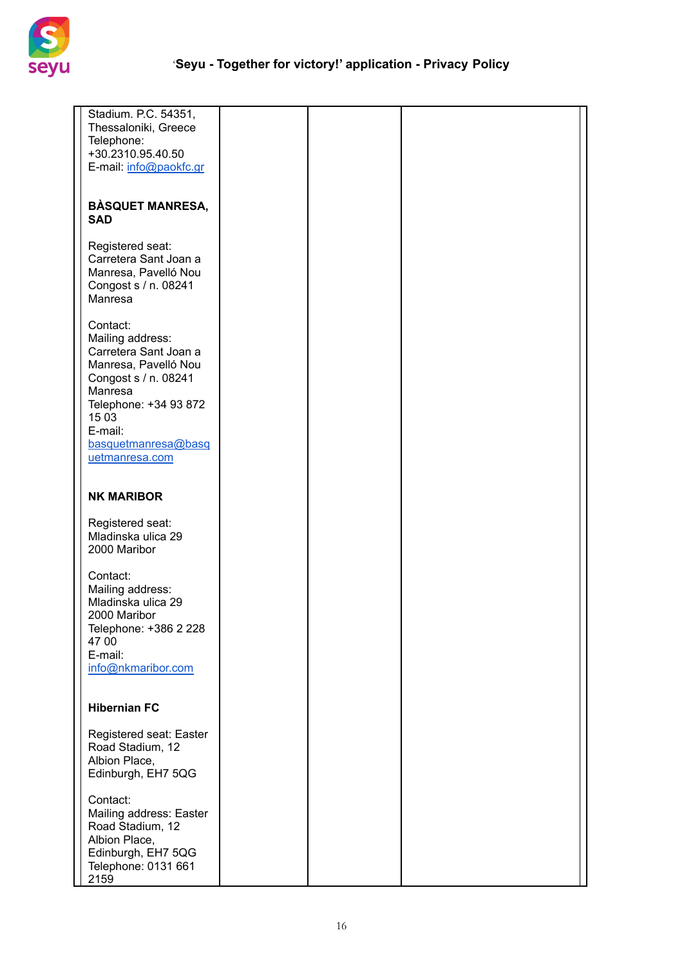

| Stadium. P.C. 54351,<br>Thessaloniki, Greece<br>Telephone:<br>+30.2310.95.40.50<br>E-mail: info@paokfc.gr                                                                                              |  |  |
|--------------------------------------------------------------------------------------------------------------------------------------------------------------------------------------------------------|--|--|
| <b>BÀSQUET MANRESA,</b><br><b>SAD</b>                                                                                                                                                                  |  |  |
| Registered seat:<br>Carretera Sant Joan a<br>Manresa, Pavelló Nou<br>Congost s / n. 08241<br>Manresa                                                                                                   |  |  |
| Contact:<br>Mailing address:<br>Carretera Sant Joan a<br>Manresa, Pavelló Nou<br>Congost s / n. 08241<br>Manresa<br>Telephone: +34 93 872<br>15 03<br>E-mail:<br>basquetmanresa@basq<br>uetmanresa.com |  |  |
| <b>NK MARIBOR</b>                                                                                                                                                                                      |  |  |
| Registered seat:<br>Mladinska ulica 29<br>2000 Maribor                                                                                                                                                 |  |  |
| Contact:<br>Mailing address:<br>Mladinska ulica 29<br>2000 Maribor<br>Telephone: +386 2 228<br>47 00<br>E-mail:<br>info@nkmaribor.com                                                                  |  |  |
| <b>Hibernian FC</b>                                                                                                                                                                                    |  |  |
| Registered seat: Easter<br>Road Stadium, 12<br>Albion Place,<br>Edinburgh, EH7 5QG                                                                                                                     |  |  |
| Contact:<br>Mailing address: Easter<br>Road Stadium, 12<br>Albion Place,<br>Edinburgh, EH7 5QG<br>Telephone: 0131 661<br>2159                                                                          |  |  |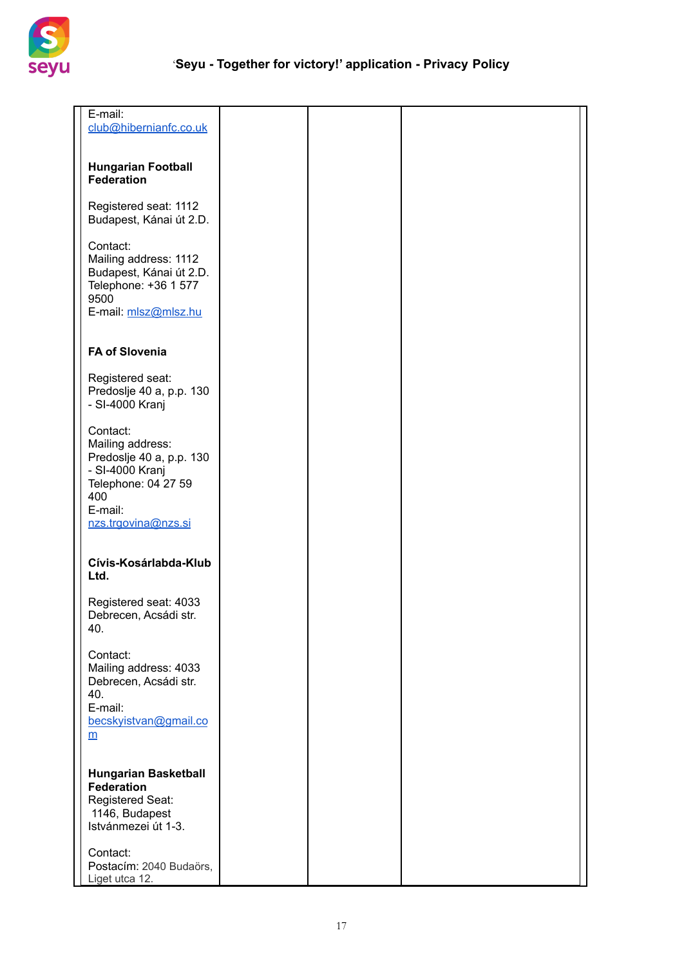

| E-mail:<br>club@hibernianfc.co.uk                                                                                                           |  |  |
|---------------------------------------------------------------------------------------------------------------------------------------------|--|--|
| <b>Hungarian Football</b><br><b>Federation</b>                                                                                              |  |  |
| Registered seat: 1112<br>Budapest, Kánai út 2.D.                                                                                            |  |  |
| Contact:<br>Mailing address: 1112<br>Budapest, Kánai út 2.D.<br>Telephone: +36 1 577<br>9500<br>E-mail: mlsz@mlsz.hu                        |  |  |
| <b>FA of Slovenia</b>                                                                                                                       |  |  |
| Registered seat:<br>Predoslje 40 a, p.p. 130<br>- SI-4000 Kranj                                                                             |  |  |
| Contact:<br>Mailing address:<br>Predoslje 40 a, p.p. 130<br>- SI-4000 Kranj<br>Telephone: 04 27 59<br>400<br>E-mail:<br>nzs.trgovina@nzs.si |  |  |
| Cívis-Kosárlabda-Klub<br>Ltd.                                                                                                               |  |  |
| Registered seat: 4033<br>Debrecen, Acsádi str.<br>40.                                                                                       |  |  |
| Contact:<br>Mailing address: 4033<br>Debrecen, Acsádi str.<br>40.<br>E-mail:<br>becskyistvan@gmail.co<br>$\underline{m}$                    |  |  |
| <b>Hungarian Basketball</b><br><b>Federation</b><br>Registered Seat:<br>1146, Budapest<br>Istvánmezei út 1-3.                               |  |  |
| Contact:<br>Postacím: 2040 Budaörs,<br>Liget utca 12.                                                                                       |  |  |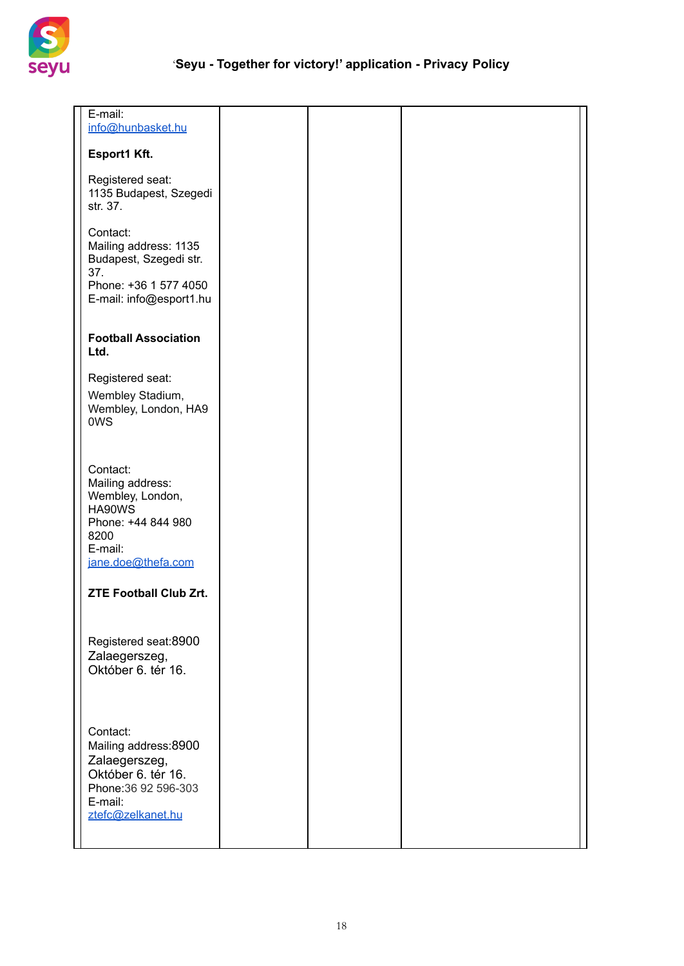

| E-mail:<br>info@hunbasket.hu                                                                                                    |  |  |
|---------------------------------------------------------------------------------------------------------------------------------|--|--|
| Esport1 Kft.                                                                                                                    |  |  |
| Registered seat:<br>1135 Budapest, Szegedi<br>str. 37.                                                                          |  |  |
| Contact:<br>Mailing address: 1135<br>Budapest, Szegedi str.<br>37.                                                              |  |  |
| Phone: +36 1 577 4050<br>E-mail: info@esport1.hu                                                                                |  |  |
| <b>Football Association</b><br>Ltd.                                                                                             |  |  |
| Registered seat:<br>Wembley Stadium,<br>Wembley, London, HA9<br>0WS                                                             |  |  |
| Contact:<br>Mailing address:<br>Wembley, London,<br>HA90WS<br>Phone: +44 844 980<br>8200<br>E-mail:<br>jane.doe@thefa.com       |  |  |
| <b>ZTE Football Club Zrt.</b>                                                                                                   |  |  |
| Registered seat:8900<br>Zalaegerszeg,<br>Október 6. tér 16.                                                                     |  |  |
| Contact:<br>Mailing address:8900<br>Zalaegerszeg,<br>Október 6. tér 16.<br>Phone: 36 92 596-303<br>E-mail:<br>ztefc@zelkanet.hu |  |  |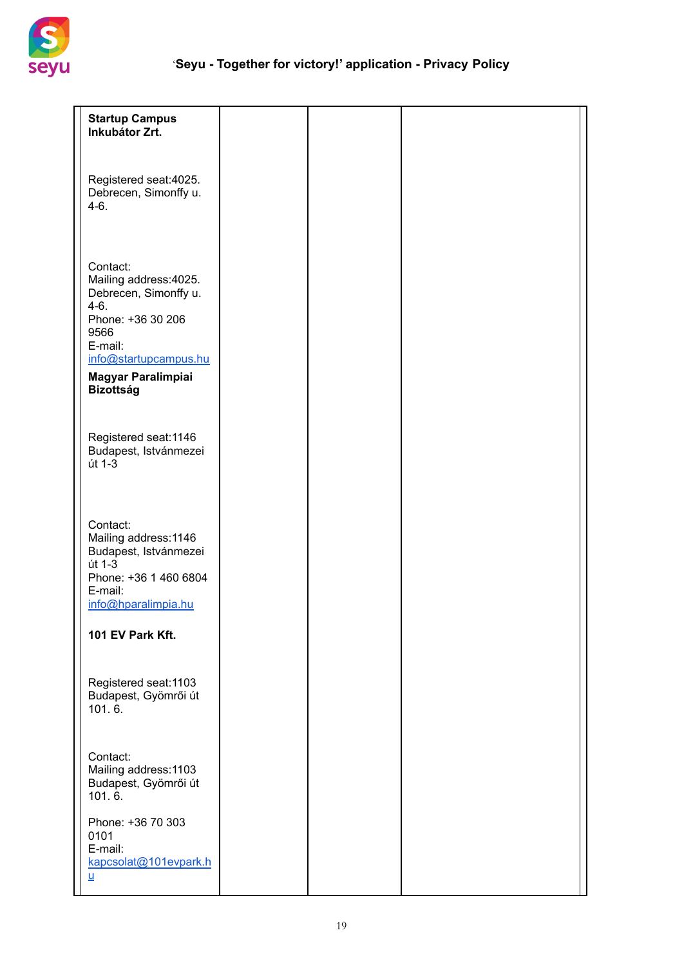

| <b>Startup Campus</b><br>Inkubátor Zrt.                                                                                                                                                 |  |  |
|-----------------------------------------------------------------------------------------------------------------------------------------------------------------------------------------|--|--|
| Registered seat:4025.<br>Debrecen, Simonffy u.<br>$4-6.$                                                                                                                                |  |  |
| Contact:<br>Mailing address: 4025.<br>Debrecen, Simonffy u.<br>$4-6.$<br>Phone: +36 30 206<br>9566<br>E-mail:<br>info@startupcampus.hu<br><b>Magyar Paralimpiai</b><br><b>Bizottság</b> |  |  |
| Registered seat: 1146<br>Budapest, Istvánmezei<br>út 1-3                                                                                                                                |  |  |
| Contact:<br>Mailing address: 1146<br>Budapest, Istvánmezei<br>út 1-3<br>Phone: +36 1 460 6804<br>E-mail:<br>info@hparalimpia.hu                                                         |  |  |
| 101 EV Park Kft.                                                                                                                                                                        |  |  |
| Registered seat: 1103<br>Budapest, Gyömrői út<br>101.6.                                                                                                                                 |  |  |
| Contact:<br>Mailing address: 1103<br>Budapest, Gyömrői út<br>101.6.                                                                                                                     |  |  |
| Phone: +36 70 303<br>0101<br>E-mail:<br>kapcsolat@101evpark.h<br><u>u</u>                                                                                                               |  |  |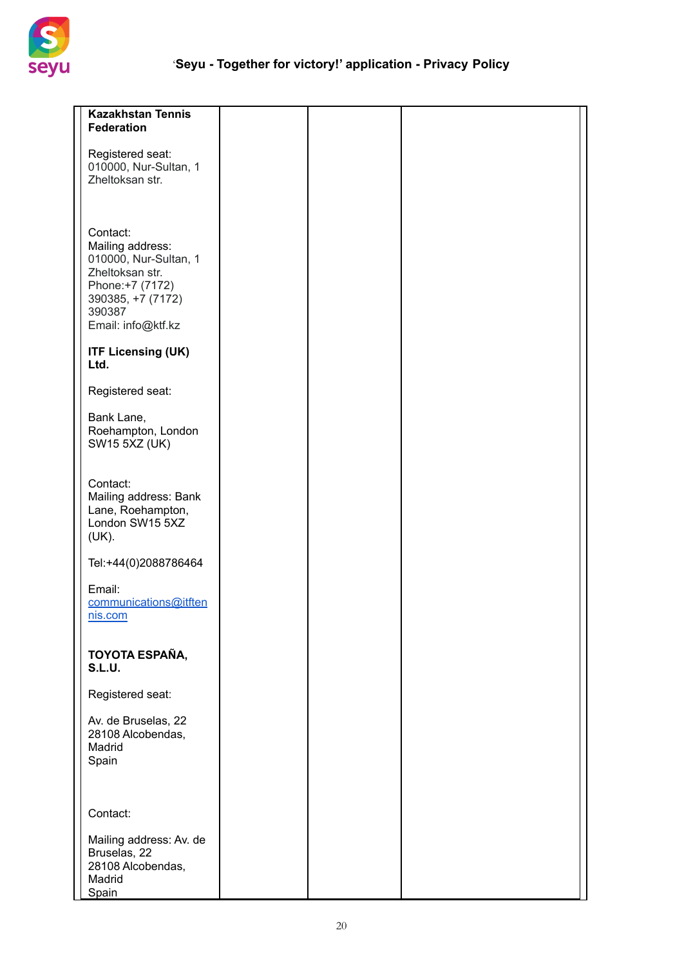

| <b>Kazakhstan Tennis</b><br><b>Federation</b>                                                                                                     |  |  |
|---------------------------------------------------------------------------------------------------------------------------------------------------|--|--|
| Registered seat:<br>010000, Nur-Sultan, 1<br>Zheltoksan str.                                                                                      |  |  |
| Contact:<br>Mailing address:<br>010000, Nur-Sultan, 1<br>Zheltoksan str.<br>Phone: +7 (7172)<br>390385, +7 (7172)<br>390387<br>Email: info@ktf.kz |  |  |
| <b>ITF Licensing (UK)</b><br>Ltd.                                                                                                                 |  |  |
| Registered seat:                                                                                                                                  |  |  |
| Bank Lane,<br>Roehampton, London<br><b>SW15 5XZ (UK)</b>                                                                                          |  |  |
| Contact:<br>Mailing address: Bank<br>Lane, Roehampton,<br>London SW15 5XZ<br>(UK).                                                                |  |  |
| Tel:+44(0)2088786464                                                                                                                              |  |  |
| Email:<br>communications@itften<br>nis.com                                                                                                        |  |  |
| TOYOTA ESPAÑA,<br><b>S.L.U.</b>                                                                                                                   |  |  |
| Registered seat:                                                                                                                                  |  |  |
| Av. de Bruselas, 22<br>28108 Alcobendas,<br>Madrid<br>Spain                                                                                       |  |  |
| Contact:                                                                                                                                          |  |  |
| Mailing address: Av. de<br>Bruselas, 22<br>28108 Alcobendas,<br>Madrid<br>Spain                                                                   |  |  |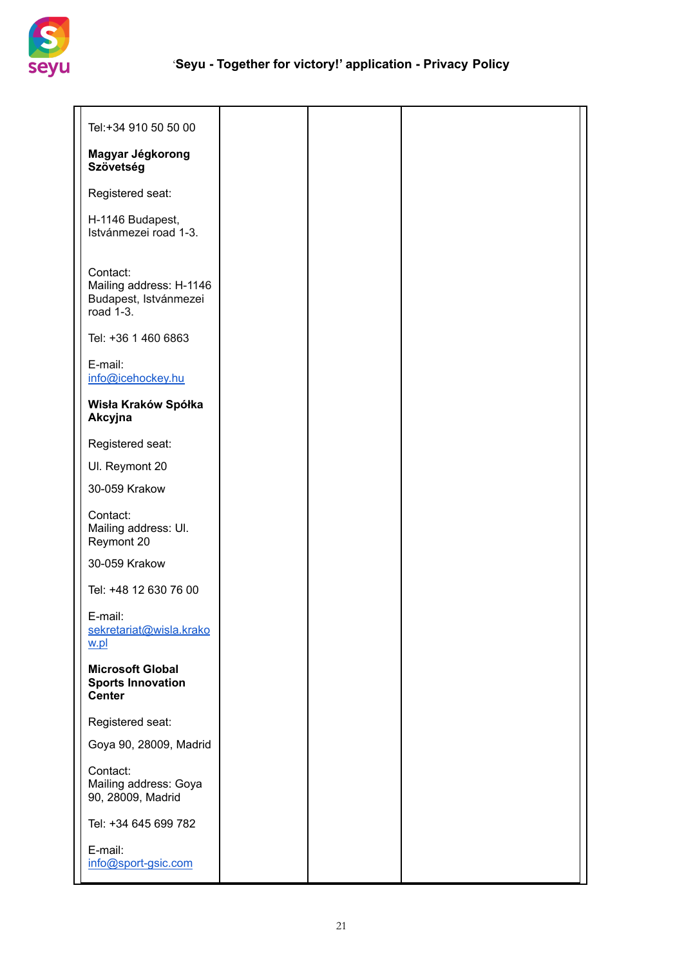

| Tel:+34 910 50 50 00                                                      |  |  |
|---------------------------------------------------------------------------|--|--|
| Magyar Jégkorong<br>Szövetség                                             |  |  |
| Registered seat:                                                          |  |  |
| H-1146 Budapest,<br>Istvánmezei road 1-3.                                 |  |  |
| Contact:<br>Mailing address: H-1146<br>Budapest, Istvánmezei<br>road 1-3. |  |  |
| Tel: +36 1 460 6863                                                       |  |  |
| E-mail:<br>info@icehockey.hu                                              |  |  |
| Wisła Kraków Spółka<br>Akcyjna                                            |  |  |
| Registered seat:                                                          |  |  |
| UI. Reymont 20                                                            |  |  |
| 30-059 Krakow                                                             |  |  |
| Contact:<br>Mailing address: UI.<br>Reymont 20                            |  |  |
| 30-059 Krakow                                                             |  |  |
| Tel: +48 12 630 76 00                                                     |  |  |
| E-mail:<br>sekretariat@wisla.krako<br>w.pl                                |  |  |
| <b>Microsoft Global</b><br><b>Sports Innovation</b><br><b>Center</b>      |  |  |
| Registered seat:                                                          |  |  |
| Goya 90, 28009, Madrid                                                    |  |  |
| Contact:<br>Mailing address: Goya<br>90, 28009, Madrid                    |  |  |
| Tel: +34 645 699 782                                                      |  |  |
| E-mail:<br>info@sport-gsic.com                                            |  |  |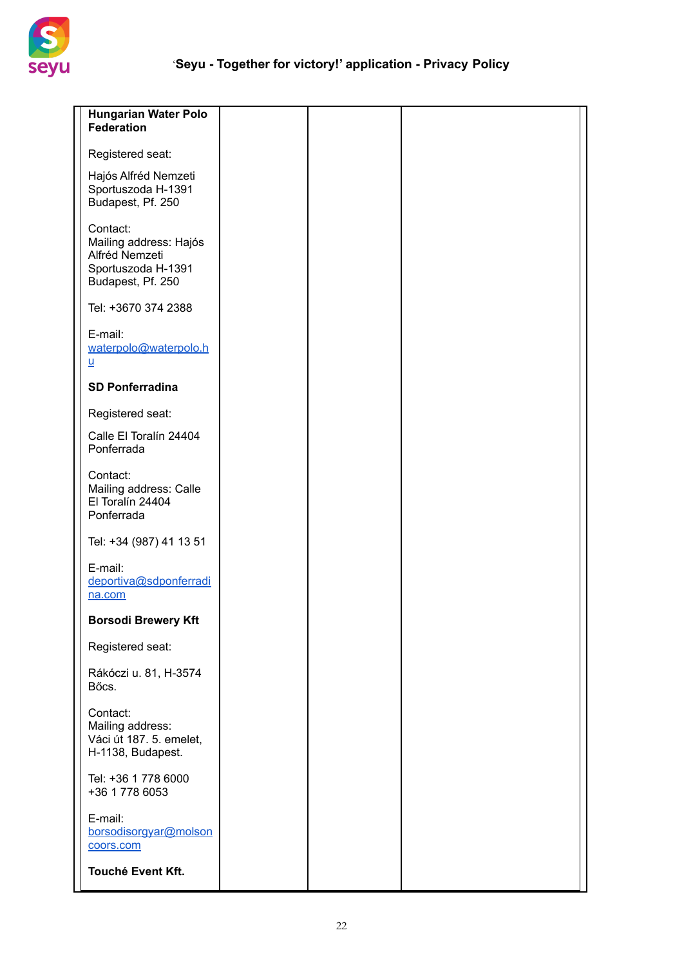

| <b>Hungarian Water Polo</b><br>Federation                                                       |  |  |
|-------------------------------------------------------------------------------------------------|--|--|
| Registered seat:                                                                                |  |  |
| Hajós Alfréd Nemzeti<br>Sportuszoda H-1391<br>Budapest, Pf. 250                                 |  |  |
| Contact:<br>Mailing address: Hajós<br>Alfréd Nemzeti<br>Sportuszoda H-1391<br>Budapest, Pf. 250 |  |  |
| Tel: +3670 374 2388                                                                             |  |  |
| E-mail:<br>waterpolo@waterpolo.h<br>$\underline{\mathsf{u}}$                                    |  |  |
| <b>SD Ponferradina</b>                                                                          |  |  |
| Registered seat:                                                                                |  |  |
| Calle El Toralín 24404<br>Ponferrada                                                            |  |  |
| Contact:<br>Mailing address: Calle<br>El Toralín 24404<br>Ponferrada                            |  |  |
| Tel: +34 (987) 41 13 51                                                                         |  |  |
| E-mail:<br>deportiva@sdponferradi<br>na.com                                                     |  |  |
| <b>Borsodi Brewery Kft</b>                                                                      |  |  |
| Registered seat:                                                                                |  |  |
| Rákóczi u. 81, H-3574<br>Bőcs.                                                                  |  |  |
| Contact:<br>Mailing address:<br>Váci út 187. 5. emelet,<br>H-1138, Budapest.                    |  |  |
| Tel: +36 1 778 6000<br>+36 1 778 6053                                                           |  |  |
| E-mail:<br>borsodisorgyar@molson<br>coors.com                                                   |  |  |
| Touché Event Kft.                                                                               |  |  |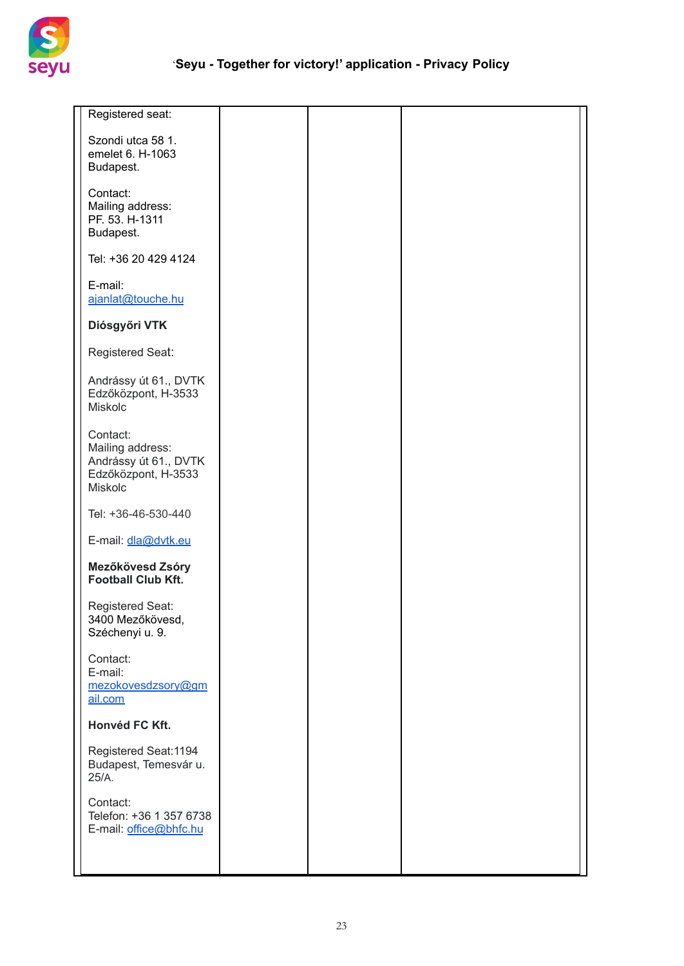

| Registered seat:                                                                        |  |  |
|-----------------------------------------------------------------------------------------|--|--|
| Szondi utca 58 1.<br>emelet 6. H-1063<br>Budapest.                                      |  |  |
| Contact:<br>Mailing address:                                                            |  |  |
| PF. 53. H-1311<br>Budapest.                                                             |  |  |
| Tel: +36 20 429 4124                                                                    |  |  |
| E-mail:<br>ajanlat@touche.hu                                                            |  |  |
| Diósgyőri VTK                                                                           |  |  |
| Registered Seat:                                                                        |  |  |
| Andrássy út 61., DVTK<br>Edzőközpont, H-3533<br><b>Miskolc</b>                          |  |  |
| Contact:<br>Mailing address:<br>Andrássy út 61., DVTK<br>Edzőközpont, H-3533<br>Miskolc |  |  |
| Tel: +36-46-530-440                                                                     |  |  |
| E-mail: dla@dvtk.eu                                                                     |  |  |
| Mezőkövesd Zsóry<br><b>Football Club Kft.</b>                                           |  |  |
| Registered Seat:<br>3400 Mezőkövesd.<br>Széchenyi u. 9.                                 |  |  |
| Contact:<br>E-mail:<br>mezokovesdzsory@gm<br>ail.com                                    |  |  |
| Honvéd FC Kft.                                                                          |  |  |
| Registered Seat: 1194<br>Budapest, Temesvár u.<br>25/A.                                 |  |  |
| Contact:<br>Telefon: +36 1 357 6738<br>E-mail: office@bhfc.hu                           |  |  |
|                                                                                         |  |  |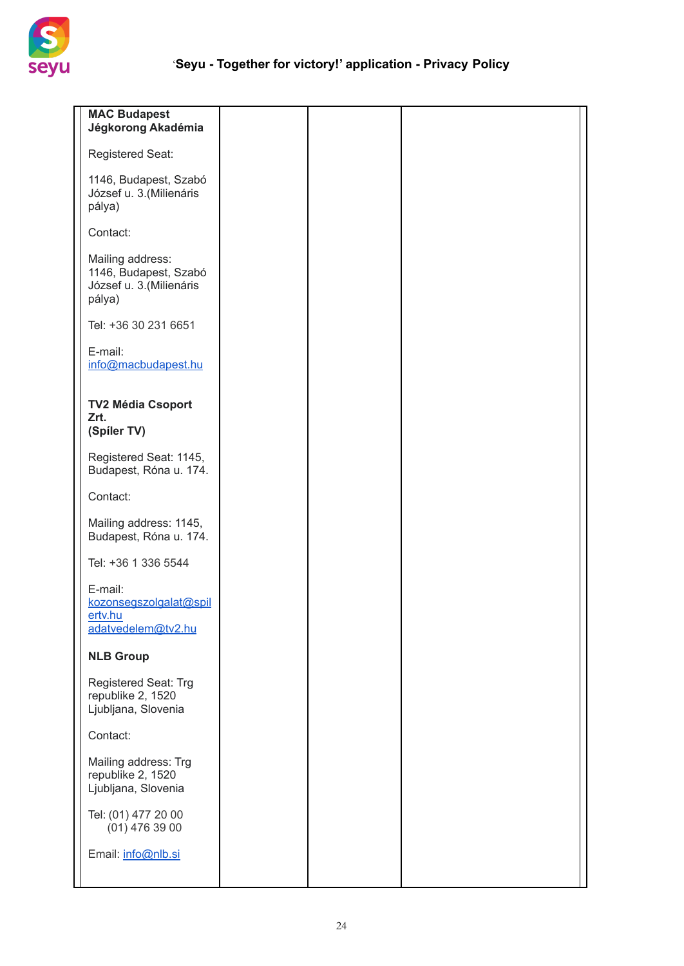

| <b>MAC Budapest</b><br>Jégkorong Akadémia                                       |
|---------------------------------------------------------------------------------|
| Registered Seat:                                                                |
| 1146, Budapest, Szabó<br>József u. 3. (Milienáris<br>pálya)                     |
| Contact:                                                                        |
| Mailing address:<br>1146, Budapest, Szabó<br>József u. 3. (Milienáris<br>pálya) |
| Tel: +36 30 231 6651                                                            |
| E-mail:<br>info@macbudapest.hu                                                  |
| <b>TV2 Média Csoport</b><br>Zrt.<br>(Spiler TV)                                 |
| Registered Seat: 1145,<br>Budapest, Róna u. 174.                                |
| Contact:                                                                        |
| Mailing address: 1145,<br>Budapest, Róna u. 174.                                |
| Tel: +36 1 336 5544                                                             |
| E-mail:<br>kozonsegszolgalat@spil<br>ertv.hu<br>adatvedelem@tv2.hu              |
| <b>NLB Group</b>                                                                |
| Registered Seat: Trg<br>republike 2, 1520<br>Ljubljana, Slovenia                |
| Contact:                                                                        |
| Mailing address: Trg<br>republike 2, 1520<br>Ljubljana, Slovenia                |
| Tel: (01) 477 20 00<br>$(01)$ 476 39 00                                         |
| Email: info@nlb.si                                                              |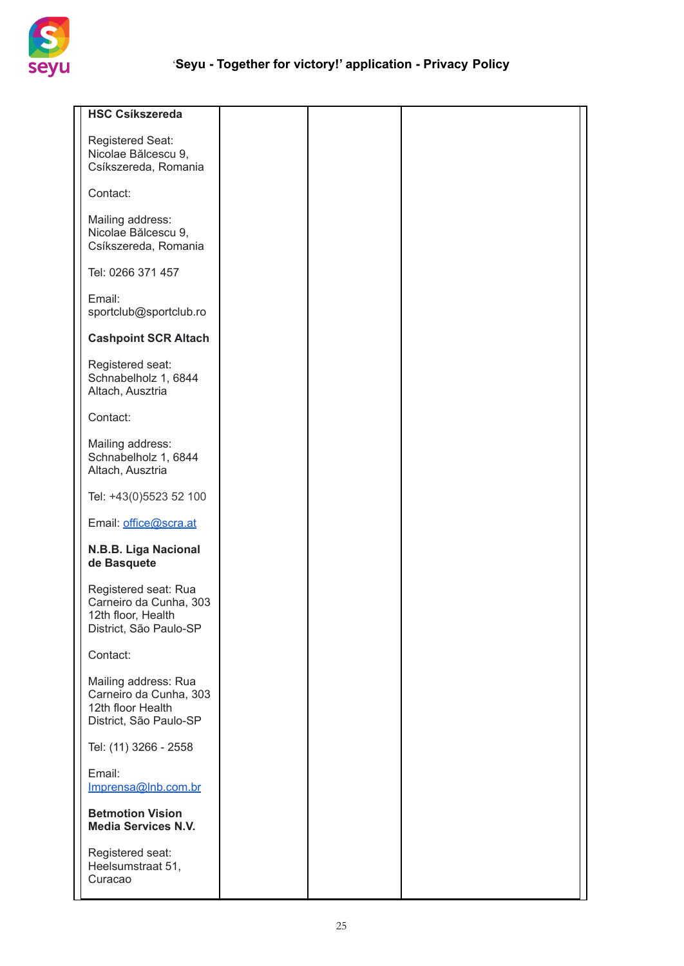

| <b>HSC Csíkszereda</b>                                                                         |
|------------------------------------------------------------------------------------------------|
| Registered Seat:<br>Nicolae Bălcescu 9,<br>Csíkszereda, Romania                                |
| Contact:                                                                                       |
| Mailing address:<br>Nicolae Bălcescu 9,<br>Csíkszereda, Romania                                |
| Tel: 0266 371 457                                                                              |
| Email:<br>sportclub@sportclub.ro                                                               |
| <b>Cashpoint SCR Altach</b>                                                                    |
| Registered seat:<br>Schnabelholz 1, 6844<br>Altach, Ausztria                                   |
| Contact:                                                                                       |
| Mailing address:<br>Schnabelholz 1, 6844<br>Altach, Ausztria                                   |
| Tel: +43(0)5523 52 100                                                                         |
| Email: office@scra.at                                                                          |
| N.B.B. Liga Nacional<br>de Basquete                                                            |
| Registered seat: Rua<br>Carneiro da Cunha, 303<br>12th floor, Health<br>District, São Paulo-SP |
| Contact:                                                                                       |
| Mailing address: Rua<br>Carneiro da Cunha, 303<br>12th floor Health<br>District, São Paulo-SP  |
| Tel: (11) 3266 - 2558                                                                          |
| Email:<br>Imprensa@Inb.com.br                                                                  |
| <b>Betmotion Vision</b><br><b>Media Services N.V.</b>                                          |
| Registered seat:<br>Heelsumstraat 51,<br>Curacao                                               |
|                                                                                                |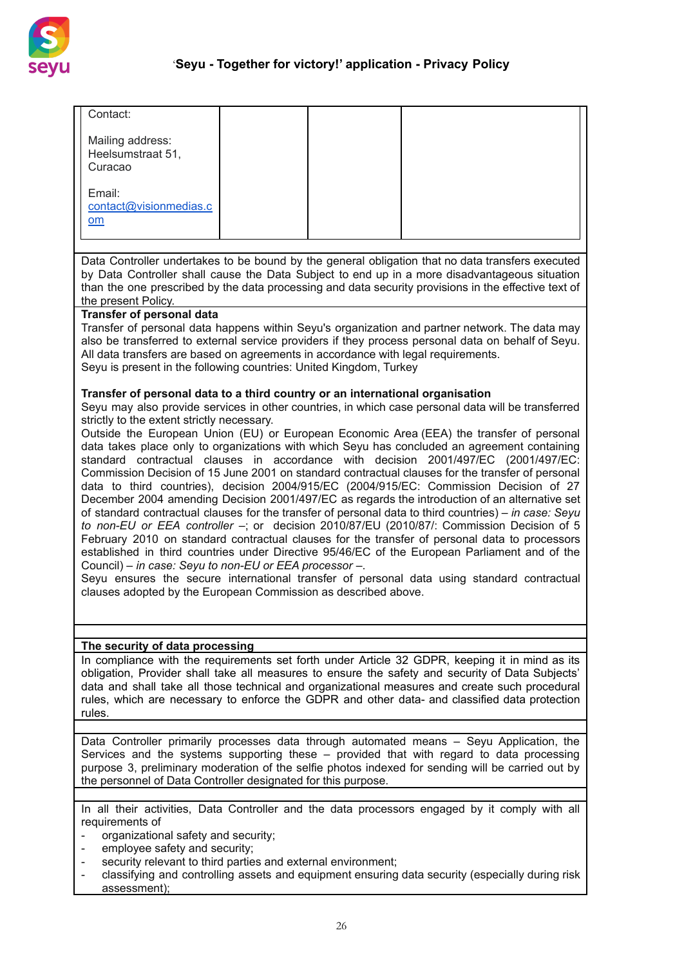

| Contact:                                                                                                                                                                                                                                                                                                                                                                                                                                                                                                                                                                                                                                                                                                                                                                                                                                                                                                                                                                                                                                                                                                                                                                                                                                                      |  |                                                                                                                                                                                                                                                                                                                                                                                                       |  |  |
|---------------------------------------------------------------------------------------------------------------------------------------------------------------------------------------------------------------------------------------------------------------------------------------------------------------------------------------------------------------------------------------------------------------------------------------------------------------------------------------------------------------------------------------------------------------------------------------------------------------------------------------------------------------------------------------------------------------------------------------------------------------------------------------------------------------------------------------------------------------------------------------------------------------------------------------------------------------------------------------------------------------------------------------------------------------------------------------------------------------------------------------------------------------------------------------------------------------------------------------------------------------|--|-------------------------------------------------------------------------------------------------------------------------------------------------------------------------------------------------------------------------------------------------------------------------------------------------------------------------------------------------------------------------------------------------------|--|--|
| Mailing address:<br>Heelsumstraat 51,<br>Curacao                                                                                                                                                                                                                                                                                                                                                                                                                                                                                                                                                                                                                                                                                                                                                                                                                                                                                                                                                                                                                                                                                                                                                                                                              |  |                                                                                                                                                                                                                                                                                                                                                                                                       |  |  |
| Email:<br>contact@visionmedias.c                                                                                                                                                                                                                                                                                                                                                                                                                                                                                                                                                                                                                                                                                                                                                                                                                                                                                                                                                                                                                                                                                                                                                                                                                              |  |                                                                                                                                                                                                                                                                                                                                                                                                       |  |  |
| om                                                                                                                                                                                                                                                                                                                                                                                                                                                                                                                                                                                                                                                                                                                                                                                                                                                                                                                                                                                                                                                                                                                                                                                                                                                            |  |                                                                                                                                                                                                                                                                                                                                                                                                       |  |  |
|                                                                                                                                                                                                                                                                                                                                                                                                                                                                                                                                                                                                                                                                                                                                                                                                                                                                                                                                                                                                                                                                                                                                                                                                                                                               |  |                                                                                                                                                                                                                                                                                                                                                                                                       |  |  |
| the present Policy.                                                                                                                                                                                                                                                                                                                                                                                                                                                                                                                                                                                                                                                                                                                                                                                                                                                                                                                                                                                                                                                                                                                                                                                                                                           |  | Data Controller undertakes to be bound by the general obligation that no data transfers executed<br>by Data Controller shall cause the Data Subject to end up in a more disadvantageous situation<br>than the one prescribed by the data processing and data security provisions in the effective text of                                                                                             |  |  |
| <b>Transfer of personal data</b><br>Transfer of personal data happens within Seyu's organization and partner network. The data may<br>also be transferred to external service providers if they process personal data on behalf of Seyu.<br>All data transfers are based on agreements in accordance with legal requirements.<br>Seyu is present in the following countries: United Kingdom, Turkey                                                                                                                                                                                                                                                                                                                                                                                                                                                                                                                                                                                                                                                                                                                                                                                                                                                           |  |                                                                                                                                                                                                                                                                                                                                                                                                       |  |  |
| Transfer of personal data to a third country or an international organisation<br>Seyu may also provide services in other countries, in which case personal data will be transferred                                                                                                                                                                                                                                                                                                                                                                                                                                                                                                                                                                                                                                                                                                                                                                                                                                                                                                                                                                                                                                                                           |  |                                                                                                                                                                                                                                                                                                                                                                                                       |  |  |
| strictly to the extent strictly necessary.<br>Outside the European Union (EU) or European Economic Area (EEA) the transfer of personal<br>data takes place only to organizations with which Seyu has concluded an agreement containing<br>standard contractual clauses in accordance with decision 2001/497/EC (2001/497/EC:<br>Commission Decision of 15 June 2001 on standard contractual clauses for the transfer of personal<br>data to third countries), decision 2004/915/EC (2004/915/EC: Commission Decision of 27<br>December 2004 amending Decision 2001/497/EC as regards the introduction of an alternative set<br>of standard contractual clauses for the transfer of personal data to third countries) – in case: Seyu<br>to non-EU or EEA controller -; or decision 2010/87/EU (2010/87/: Commission Decision of 5<br>February 2010 on standard contractual clauses for the transfer of personal data to processors<br>established in third countries under Directive 95/46/EC of the European Parliament and of the<br>Council) – in case: Seyu to non-EU or EEA processor –.<br>Seyu ensures the secure international transfer of personal data using standard contractual<br>clauses adopted by the European Commission as described above. |  |                                                                                                                                                                                                                                                                                                                                                                                                       |  |  |
|                                                                                                                                                                                                                                                                                                                                                                                                                                                                                                                                                                                                                                                                                                                                                                                                                                                                                                                                                                                                                                                                                                                                                                                                                                                               |  |                                                                                                                                                                                                                                                                                                                                                                                                       |  |  |
| The security of data processing<br>rules.                                                                                                                                                                                                                                                                                                                                                                                                                                                                                                                                                                                                                                                                                                                                                                                                                                                                                                                                                                                                                                                                                                                                                                                                                     |  | In compliance with the requirements set forth under Article 32 GDPR, keeping it in mind as its<br>obligation, Provider shall take all measures to ensure the safety and security of Data Subjects'<br>data and shall take all those technical and organizational measures and create such procedural<br>rules, which are necessary to enforce the GDPR and other data- and classified data protection |  |  |
|                                                                                                                                                                                                                                                                                                                                                                                                                                                                                                                                                                                                                                                                                                                                                                                                                                                                                                                                                                                                                                                                                                                                                                                                                                                               |  | Data Controller primarily processes data through automated means - Seyu Application, the                                                                                                                                                                                                                                                                                                              |  |  |
| the personnel of Data Controller designated for this purpose.                                                                                                                                                                                                                                                                                                                                                                                                                                                                                                                                                                                                                                                                                                                                                                                                                                                                                                                                                                                                                                                                                                                                                                                                 |  | Services and the systems supporting these - provided that with regard to data processing<br>purpose 3, preliminary moderation of the selfie photos indexed for sending will be carried out by                                                                                                                                                                                                         |  |  |
|                                                                                                                                                                                                                                                                                                                                                                                                                                                                                                                                                                                                                                                                                                                                                                                                                                                                                                                                                                                                                                                                                                                                                                                                                                                               |  | In all their activities, Data Controller and the data processors engaged by it comply with all                                                                                                                                                                                                                                                                                                        |  |  |
| requirements of<br>organizational safety and security;<br>$\blacksquare$                                                                                                                                                                                                                                                                                                                                                                                                                                                                                                                                                                                                                                                                                                                                                                                                                                                                                                                                                                                                                                                                                                                                                                                      |  |                                                                                                                                                                                                                                                                                                                                                                                                       |  |  |
| employee safety and security;<br>$\qquad \qquad \blacksquare$<br>security relevant to third parties and external environment;<br>$\overline{\phantom{0}}$<br>-<br>assessment);                                                                                                                                                                                                                                                                                                                                                                                                                                                                                                                                                                                                                                                                                                                                                                                                                                                                                                                                                                                                                                                                                |  | classifying and controlling assets and equipment ensuring data security (especially during risk                                                                                                                                                                                                                                                                                                       |  |  |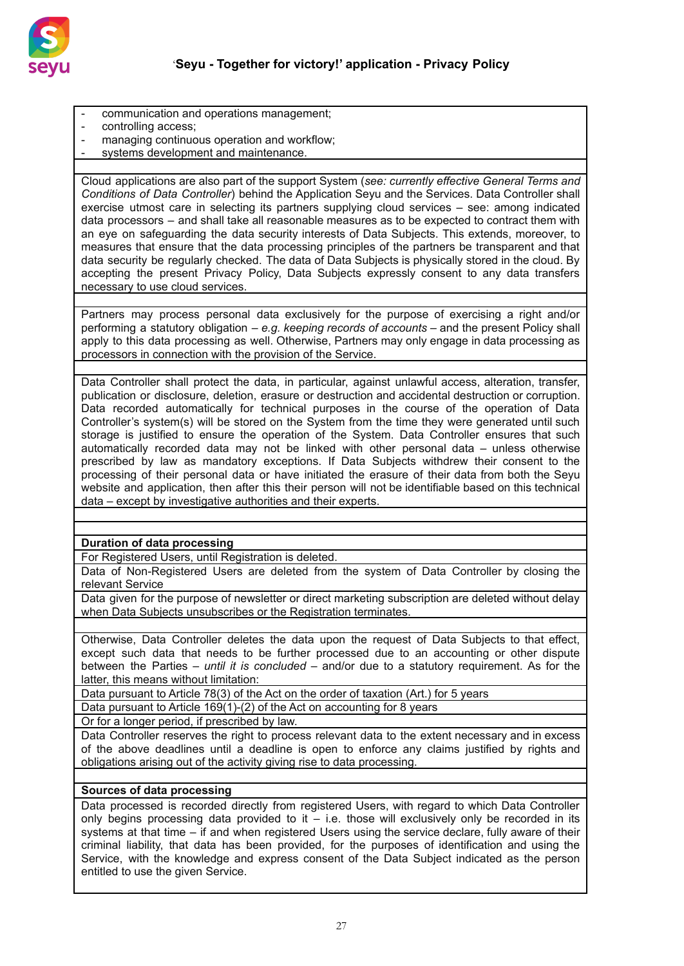

- communication and operations management;
- controlling access;
- managing continuous operation and workflow;
- systems development and maintenance.

Cloud applications are also part of the support System (*see: currently effective General Terms and Conditions of Data Controller*) behind the Application Seyu and the Services. Data Controller shall exercise utmost care in selecting its partners supplying cloud services – see: among indicated data processors – and shall take all reasonable measures as to be expected to contract them with an eye on safeguarding the data security interests of Data Subjects. This extends, moreover, to measures that ensure that the data processing principles of the partners be transparent and that data security be regularly checked. The data of Data Subjects is physically stored in the cloud. By accepting the present Privacy Policy, Data Subjects expressly consent to any data transfers necessary to use cloud services.

Partners may process personal data exclusively for the purpose of exercising a right and/or performing a statutory obligation – *e.g. keeping records of accounts* – and the present Policy shall apply to this data processing as well. Otherwise, Partners may only engage in data processing as processors in connection with the provision of the Service.

Data Controller shall protect the data, in particular, against unlawful access, alteration, transfer, publication or disclosure, deletion, erasure or destruction and accidental destruction or corruption. Data recorded automatically for technical purposes in the course of the operation of Data Controller's system(s) will be stored on the System from the time they were generated until such storage is justified to ensure the operation of the System. Data Controller ensures that such automatically recorded data may not be linked with other personal data – unless otherwise prescribed by law as mandatory exceptions. If Data Subjects withdrew their consent to the processing of their personal data or have initiated the erasure of their data from both the Seyu website and application, then after this their person will not be identifiable based on this technical data – except by investigative authorities and their experts.

# **Duration of data processing**

For Registered Users, until Registration is deleted.

Data of Non-Registered Users are deleted from the system of Data Controller by closing the relevant Service

Data given for the purpose of newsletter or direct marketing subscription are deleted without delay when Data Subjects unsubscribes or the Registration terminates.

Otherwise, Data Controller deletes the data upon the request of Data Subjects to that effect, except such data that needs to be further processed due to an accounting or other dispute between the Parties – *until it is concluded* – and/or due to a statutory requirement. As for the latter, this means without limitation:

Data pursuant to Article 78(3) of the Act on the order of taxation (Art.) for 5 years

Data pursuant to Article 169(1)-(2) of the Act on accounting for 8 years

Or for a longer period, if prescribed by law.

Data Controller reserves the right to process relevant data to the extent necessary and in excess of the above deadlines until a deadline is open to enforce any claims justified by rights and obligations arising out of the activity giving rise to data processing.

### **Sources of data processing**

Data processed is recorded directly from registered Users, with regard to which Data Controller only begins processing data provided to it  $-$  i.e. those will exclusively only be recorded in its systems at that time – if and when registered Users using the service declare, fully aware of their criminal liability, that data has been provided, for the purposes of identification and using the Service, with the knowledge and express consent of the Data Subject indicated as the person entitled to use the given Service.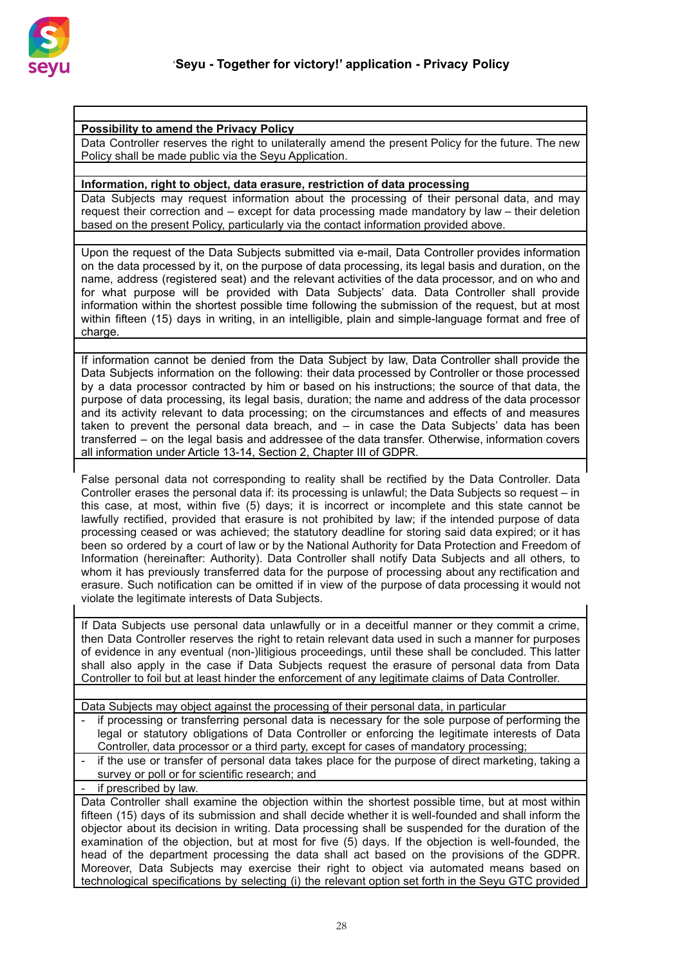

#### **Possibility to amend the Privacy Policy**

Data Controller reserves the right to unilaterally amend the present Policy for the future. The new Policy shall be made public via the Seyu Application.

#### **Information, right to object, data erasure, restriction of data processing**

Data Subjects may request information about the processing of their personal data, and may request their correction and – except for data processing made mandatory by law – their deletion based on the present Policy, particularly via the contact information provided above.

Upon the request of the Data Subjects submitted via e-mail, Data Controller provides information on the data processed by it, on the purpose of data processing, its legal basis and duration, on the name, address (registered seat) and the relevant activities of the data processor, and on who and for what purpose will be provided with Data Subjects' data. Data Controller shall provide information within the shortest possible time following the submission of the request, but at most within fifteen (15) days in writing, in an intelligible, plain and simple-language format and free of charge.

If information cannot be denied from the Data Subject by law, Data Controller shall provide the Data Subjects information on the following: their data processed by Controller or those processed by a data processor contracted by him or based on his instructions; the source of that data, the purpose of data processing, its legal basis, duration; the name and address of the data processor and its activity relevant to data processing; on the circumstances and effects of and measures taken to prevent the personal data breach, and – in case the Data Subjects' data has been transferred – on the legal basis and addressee of the data transfer. Otherwise, information covers all information under Article 13-14, Section 2, Chapter III of GDPR.

False personal data not corresponding to reality shall be rectified by the Data Controller. Data Controller erases the personal data if: its processing is unlawful; the Data Subjects so request – in this case, at most, within five (5) days; it is incorrect or incomplete and this state cannot be lawfully rectified, provided that erasure is not prohibited by law; if the intended purpose of data processing ceased or was achieved; the statutory deadline for storing said data expired; or it has been so ordered by a court of law or by the National Authority for Data Protection and Freedom of Information (hereinafter: Authority). Data Controller shall notify Data Subjects and all others, to whom it has previously transferred data for the purpose of processing about any rectification and erasure. Such notification can be omitted if in view of the purpose of data processing it would not violate the legitimate interests of Data Subjects.

If Data Subjects use personal data unlawfully or in a deceitful manner or they commit a crime, then Data Controller reserves the right to retain relevant data used in such a manner for purposes of evidence in any eventual (non-)litigious proceedings, until these shall be concluded. This latter shall also apply in the case if Data Subjects request the erasure of personal data from Data Controller to foil but at least hinder the enforcement of any legitimate claims of Data Controller.

### Data Subjects may object against the processing of their personal data, in particular

- if processing or transferring personal data is necessary for the sole purpose of performing the legal or statutory obligations of Data Controller or enforcing the legitimate interests of Data Controller, data processor or a third party, except for cases of mandatory processing;
- if the use or transfer of personal data takes place for the purpose of direct marketing, taking a survey or poll or for scientific research; and

if prescribed by law.

Data Controller shall examine the objection within the shortest possible time, but at most within fifteen (15) days of its submission and shall decide whether it is well-founded and shall inform the objector about its decision in writing. Data processing shall be suspended for the duration of the examination of the objection, but at most for five (5) days. If the objection is well-founded, the head of the department processing the data shall act based on the provisions of the GDPR. Moreover, Data Subjects may exercise their right to object via automated means based on technological specifications by selecting (i) the relevant option set forth in the Seyu GTC provided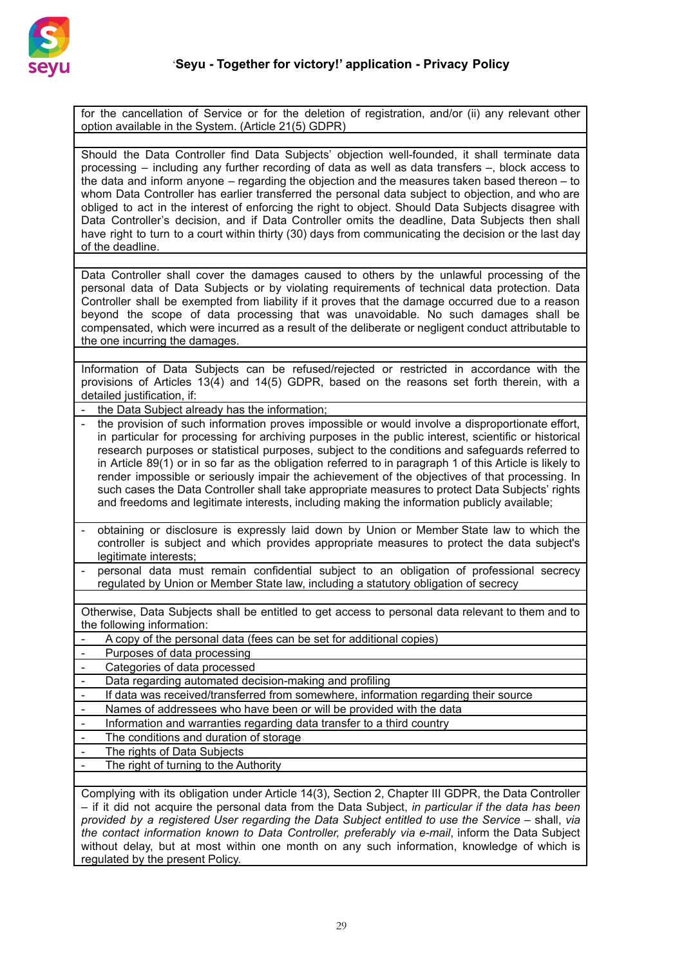

for the cancellation of Service or for the deletion of registration, and/or (ii) any relevant other option available in the System. (Article 21(5) GDPR)

Should the Data Controller find Data Subjects' objection well-founded, it shall terminate data processing – including any further recording of data as well as data transfers –, block access to the data and inform anyone – regarding the objection and the measures taken based thereon – to whom Data Controller has earlier transferred the personal data subject to objection, and who are obliged to act in the interest of enforcing the right to object. Should Data Subjects disagree with Data Controller's decision, and if Data Controller omits the deadline, Data Subjects then shall have right to turn to a court within thirty (30) days from communicating the decision or the last day of the deadline.

Data Controller shall cover the damages caused to others by the unlawful processing of the personal data of Data Subjects or by violating requirements of technical data protection. Data Controller shall be exempted from liability if it proves that the damage occurred due to a reason beyond the scope of data processing that was unavoidable. No such damages shall be compensated, which were incurred as a result of the deliberate or negligent conduct attributable to the one incurring the damages.

Information of Data Subjects can be refused/rejected or restricted in accordance with the provisions of Articles 13(4) and 14(5) GDPR, based on the reasons set forth therein, with a detailed justification, if:

- the Data Subject already has the information;
- the provision of such information proves impossible or would involve a disproportionate effort, in particular for processing for archiving purposes in the public interest, scientific or historical research purposes or statistical purposes, subject to the conditions and safeguards referred to in Article 89(1) or in so far as the obligation referred to in paragraph 1 of this Article is likely to render impossible or seriously impair the achievement of the objectives of that processing. In such cases the Data Controller shall take appropriate measures to protect Data Subjects' rights and freedoms and legitimate interests, including making the information publicly available;
- obtaining or disclosure is expressly laid down by Union or Member State law to which the controller is subject and which provides appropriate measures to protect the data subject's legitimate interests;
- personal data must remain confidential subject to an obligation of professional secrecy regulated by Union or Member State law, including a statutory obligation of secrecy

Otherwise, Data Subjects shall be entitled to get access to personal data relevant to them and to the following information:

- A copy of the personal data (fees can be set for additional copies)
- Purposes of data processing
- Categories of data processed
- Data regarding automated decision-making and profiling
- If data was received/transferred from somewhere, information regarding their source
- Names of addressees who have been or will be provided with the data
- Information and warranties regarding data transfer to a third country
- The conditions and duration of storage
- The rights of Data Subjects
- The right of turning to the Authority

Complying with its obligation under Article 14(3), Section 2, Chapter III GDPR, the Data Controller – if it did not acquire the personal data from the Data Subject, *in particular if the data has been provided by a registered User regarding the Data Subject entitled to use the Service* – shall, *via the contact information known to Data Controller, preferably via e-mail*, inform the Data Subject without delay, but at most within one month on any such information, knowledge of which is regulated by the present Policy.